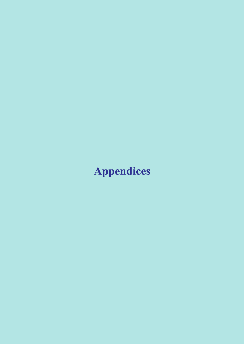# **Appendices**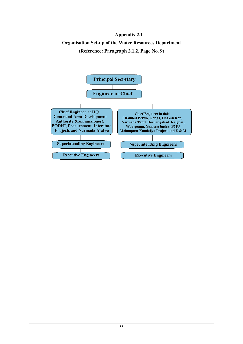# **Appendix 2.1 Organisation Set-up of the Water Resources Department (Reference: Paragraph 2.1.2, Page No. 9)**

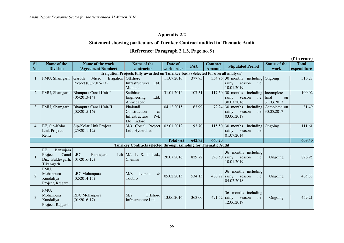#### **Statement showing particulars of Turnkey Contract audited in Thematic Audit**

#### **(Reference: Paragraph 2.1.3, Page no. 9)**

**(**` **in crore)Sl. No. Name of the Division Name of the work (Agreement Number) Irrigation Projects fully awarded on Turnkey basis (Selected for overall analysis)Name of the contractor Date of work orderPAC**  $\begin{array}{|c|c|c|c|c|} \hline \text{Contract} & \text{Stipulated Period} & \text{Status of the} & \text{Total} \\ \hline \text{Amount} & \text{structure} & \text{work} & \text{experiment} \\\hline \end{array}$ 5 354.96 30 months including Ongoing 316.28 1 | PMU, Shamgarh  $|$  Garoth Micro Project (08/2016-17) Irrigation Offshore Infrastructures Ltd. Mumbai Sadbhav 11.07.2016 377.75 rainy season i.e. 10.01.2019 1 117.50 30 months including Incomplete 2 PMU, Shamgarh Bhanpura Canal Unit-I (05/2013-14) Engineering Ltd. Ahmedabad 31.01.2014 107.51 rainy season 30.07.2016 9 72.24 30 months including Completed on final on 31.03.2017 100.023 PMU, Shamgarh Bhanpura Canal Unit-II (02/2015-16) Phaloudi Construction & Infrastructure Pvt. Ltd., Indore M/s Costal Project 04.12.2015 63.99 rainy season 03.06.2018 i.e. 30.05.2017 81.494 EE, Sip-Kolar Link Project, Rehti Sip-Kolar Link Project (25/2011-12) Ltd., Hyderabad 02.01.2012 93.70 115.50 30 months including<br>rainy season i.e. rainy season 01.07.2014 Ongoing 111.61**Total (A) 642.95 660.20 609.40 Turnkey Contracts selected through sampling for Thematic Audit**1 EE Bansujara  $Canal$  LBC Project Dn., Baldevgarh, (01/2016-17) Tikamgarh Bansujara Lift  $M/s$  L & T Ltd., Chennai  $20.07.2016$  829.72 36 months including  $896.50$  rainy season i.e. 10.01.2019 Ongoing | 826.95  $\overline{2}$ PMU, Mohanpura Kundaliya Project, Rajgarh LBC Mohanpura (02/2014-15) M/S Larsen & Toubro  $\alpha$  05.02.2015 534.15 36 months including  $486.72$  rainy season i.e. 04.02.2018 Ongoing 465.833 PMU, Mohanpura Kundaliya Project, Rajgarh RBC Mohanpura (01/2016-17) M/s Offshore Infrastructure Ltd.  $\begin{bmatrix} 13.06.2016 \end{bmatrix}$  363.00 36 months including rainy season i.e. 12.06.2019 Ongoing 459.21

56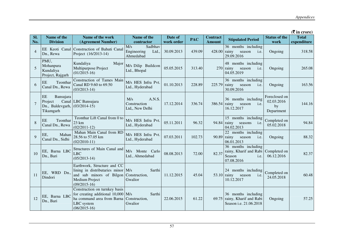|                |                                                             |                                                                                                                                                     |                                                     |                       |            |                                  |                                                                               |                                                 | $($ <b>₹</b> in crore)      |
|----------------|-------------------------------------------------------------|-----------------------------------------------------------------------------------------------------------------------------------------------------|-----------------------------------------------------|-----------------------|------------|----------------------------------|-------------------------------------------------------------------------------|-------------------------------------------------|-----------------------------|
| SI.<br>No.     | Name of the<br><b>Division</b>                              | Name of the work<br>(Agreement Number)                                                                                                              | Name of the<br>contractor                           | Date of<br>work order | <b>PAC</b> | <b>Contract</b><br><b>Amount</b> | <b>Stipulated Period</b>                                                      | <b>Status of the</b><br>work                    | <b>Total</b><br>expenditure |
| $\overline{4}$ | Dn., Rewa                                                   | EE Keoti Canal Construction of Bahuti Canal<br>Project (16/2013-14)                                                                                 | M/s<br>Sadbhav<br>Engineering<br>Ltd.,<br>Ahmedabad | 30.09.2013            | 439.09     | 428.00 rainy                     | 36 months including<br>season<br>i.e.<br>29.09.2016                           | Ongoing                                         | 318.58                      |
| 5              | PMU,<br>Mohanpura<br>Kundaliya<br>Project, Rajgarh          | Kundaliya<br>Major<br>Multipurpose Project<br>$(01/2015-16)$                                                                                        | M/s Dilip Buildcon<br>Ltd., Bhopal                  | 05.05.2015            | 313.40     |                                  | 48 months including<br>$270$ rainy<br>season<br>i.e.<br>04.05.2019            | Ongoing                                         | 265.08                      |
| 6              | $\rm{EE}$<br>Teonthar<br>Canal Dn., Rewa                    | Construction of Tames Main<br>Canal RD 9.60 to 69.50<br>$(03/2013-14)$                                                                              | M/s HES Infra Pvt.<br>Ltd., Hyderabad               | 01.10.2013            | 228.89     | 225.79 rainy                     | 36 months including<br>season<br>i.e.<br>30.09.2016                           | Ongoing                                         | 163.56                      |
|                | EE<br>Bansujara<br>Project<br>Dn., Baldevgarh,<br>Tikamgarh | Canal LBC Bansujara<br>$(03/2014-15)$                                                                                                               | A.N.S.<br>M/s<br>Construction<br>Ltd., New Delhi    | 17.12.2014            | 336.74     | 386.54 rainy                     | 36 months including<br>season<br>i.e.<br>16.12.2017                           | Foreclosed on<br>02.03.2016<br>by<br>Department | 144.16                      |
| 8              | EE<br>Teonthar<br>Canal Dn., Rewa                           | Teonthar Lift Canal from 0 to<br>23 km<br>$(02/2011-12)$                                                                                            | M/s HES Infra Pvt.<br>Ltd., Hyderabad               | 05.11.2011            | 96.32      | 94.84 rainy                      | 15 months including<br>seasons<br>i.e.<br>04.02.2013                          | Completed on<br>05.02.2018                      | 94.84                       |
| $\mathbf Q$    | EE,<br>Mahan<br>Canal Dn., Sidhi                            | Mahan Main Canal from RD<br>28.56 to 57.05 km<br>$(02/2010-11)$                                                                                     | M/s HES Infra Pvt.<br>Ltd., Hyderabad               | 07.03.2011            | 102.73     | $90.89$ rainy                    | $\overline{22}$ months including<br>season<br>i.e.<br>06.01.2013              | Ongoing                                         | 88.32                       |
| 10             | EE, Barna LBC<br>Dn., Bari                                  | Structures of Main Canal and<br><b>LBC</b><br>$(05/2013-14)$                                                                                        | Monte Carlo<br>M/s<br>Ltd., Ahmedabad               | 08.08.2013            | 72.00      | 82.37                            | 36 months including<br>rainy, Kharif and Rabi<br>Season<br>i.e.<br>07.08.2016 | Completed on<br>06.12.2016                      | 82.37                       |
| 11             | EE, WRD Dn.,<br>Dindori                                     | Earthwork, Structure and CC<br>lining in distributaries minor M/s<br>and sub minors of Bilgon Construction,<br>Medium Project<br>$(09/2015-16)$     | Sarthi<br>Gwalior                                   | 11.12.2015            | 45.04      | $53.10$ rainy                    | 24 months including<br>season<br>i.e.<br>10.12.2017                           | Completed on<br>24.05.2018                      | 60.48                       |
| 12             | EE, Barna LBC<br>Dn., Bari                                  | Construction on turnkey basis<br>for creating additional $10,000$ $M/s$<br>ha command area from Barna Construction,<br>LBC system<br>$(06/2015-16)$ | Sarthi<br>Gwalior                                   | 22.06.2015            | 61.22      |                                  | 36 months including<br>69.75 rainy, Kharif and Rabi<br>Season i.e. 21.06.2018 | Ongoing                                         | 57.25                       |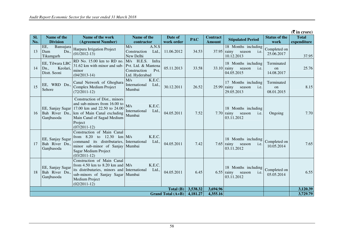|     | $(5 \text{ in } \text{core})$                       |                                                                                                                                                                                          |                                                                                        |                     |            |                 |                                                                      |                                |              |
|-----|-----------------------------------------------------|------------------------------------------------------------------------------------------------------------------------------------------------------------------------------------------|----------------------------------------------------------------------------------------|---------------------|------------|-----------------|----------------------------------------------------------------------|--------------------------------|--------------|
| SI. | Name of the                                         | Name of the work                                                                                                                                                                         | Name of the                                                                            | Date of             | <b>PAC</b> | <b>Contract</b> | <b>Stipulated Period</b>                                             | <b>Status of the</b>           | <b>Total</b> |
| No. | <b>Division</b>                                     | (Agreement Number)                                                                                                                                                                       | contractor                                                                             | work order          |            | <b>Amount</b>   |                                                                      | work                           | expenditure  |
| 13  | EE,<br>Bansujara<br>Dn.,<br>Dam<br>Tikamgarh        | Harpura Irrigation Project<br>$(01/2012-13)$                                                                                                                                             | $\overline{M/s}$<br>A.N.S<br>Construction<br>Ltd.,<br>New Delhi                        | 11.06.2012          | 34.53      |                 | 18 Months including<br>$37.95$ rainy<br>season<br>i.e.<br>10.12.2013 | Completed on<br>25.06.2017     | 37.95        |
| 14  | EE, Tilwara LBC<br>Keolari,<br>Dn.,<br>Distt. Seoni | RD No. 15.00 km to RD no.<br>31.62 km with minor and sub-<br>minor<br>$(04/2013-14)$                                                                                                     | $M/s$ H.E.S.<br>Infra<br>Pvt. Ltd. & Mantena<br>Pvt.<br>Construction<br>Ltd. Hyderabad | 05.11.2013          | 33.58      |                 | 18 Months including<br>33.10 rainy<br>season<br>i.e.<br>04.05.2015   | Terminated<br>on<br>14.08.2017 | 25.76        |
| 15  | EE, WRD Dn.,<br>Sehore                              | Canal Network of Ghoghara<br>Complex Medium Project<br>$(72/2011-12)$                                                                                                                    | K.E.C.<br>M/s<br>International<br>Ltd.,<br>Mumbai                                      | 30.12.2011          | 26.52      |                 | 17 Months including<br>$25.99$ rainy<br>season<br>i.e.<br>29.05.2013 | Terminated<br>on<br>08.01.2015 | 8.15         |
| 16  | EE, Sanjay Sagar<br>Bah River Dn.,<br>Ganjbasoda    | Construction of Dist., minors<br>and sub-minors from 16.00 to<br>17.00 km and 22.50 to 24.00<br>km of Main Canal excluding<br>Main Canal of Sagad Medium<br>Project<br>$(07/2011-12)$    | M/s<br>K.E.C.<br>Ltd.,<br>International<br>Mumbai                                      | 04.05.2011          | 7.52       |                 | 18 Months including<br>$7.70$ rainy<br>season<br>i.e.<br>03.11.2012  | Ongoing                        | 7.70         |
| 17  | EE, Sanjay Sagar<br>Bah River Dn.,<br>Ganjbasoda    | Construction of Main Canal<br>to $12.30$<br>from $8.20$<br>command its distributaries, International<br>minor sub-minor of Sanjay Mumbai<br>Sagar Medium Project<br>$(03/2011-12)$       | K.E.C.<br>$km$ $M/s$<br>Ltd.,                                                          | 04.05.2011          | 7.42       |                 | 18 Months including<br>$7.65$ rainy<br>i.e.<br>season<br>03.11.2012  | Completed on<br>10.05.2014     | 7.65         |
| 18  | EE, Sanjay Sagar<br>Bah River Dn.,<br>Ganjbasoda    | Construction of Main Canal<br>from 4.50 km to 8.20 km and $M/s$<br>its distributaries, minors and International<br>sub-minors of Sanjay Sagar Mumbai<br>Medium Project<br>$(02/2011-12)$ | K.E.C.<br>Ltd.,                                                                        | 04.05.2011          | 6.45       |                 | 18 Months including<br>$6.55$ rainy<br>season<br>i.e.<br>03.11.2012  | Completed on<br>05.05.2014     | 6.55         |
|     |                                                     |                                                                                                                                                                                          |                                                                                        | Total (B)           | 3,538.32   | 3,694.96        |                                                                      |                                | 3,120.39     |
|     |                                                     |                                                                                                                                                                                          |                                                                                        | Grand Total $(A+B)$ | 4,181.27   | 4,355.16        |                                                                      |                                | 3,729.79     |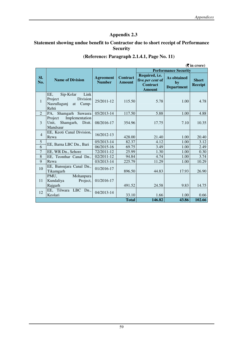#### **Statement showing undue benefit to Contractor due to short receipt of Performance Security**

#### **(Reference: Paragraph 2.1.4.1, Page No. 11)**

|                |                                                                                                |                                   |                                  |                                                                        |                                               | $($ ₹ in crore)                |
|----------------|------------------------------------------------------------------------------------------------|-----------------------------------|----------------------------------|------------------------------------------------------------------------|-----------------------------------------------|--------------------------------|
|                |                                                                                                |                                   |                                  |                                                                        | <b>Performance Security</b>                   |                                |
| SI.<br>No.     | <b>Name of Division</b>                                                                        | <b>Agreement</b><br><b>Number</b> | <b>Contract</b><br><b>Amount</b> | Required, i.e.<br>five per cent of<br><b>Contract</b><br><b>Amount</b> | <b>As obtained</b><br>by<br><b>Department</b> | <b>Short</b><br><b>Receipt</b> |
| 1              | Link<br>EE,<br>Sip-Kolar<br><b>Division</b><br>Project<br>Nasrullaganj<br>at<br>Camp-<br>Rehti | 25/2011-12                        | 115.50                           | 5.78                                                                   | 1.00                                          | 4.78                           |
| $\mathcal{L}$  | Shamgarh Suwasra<br>PA.                                                                        | 05/2013-14                        | 117.50                           | 5.88                                                                   | 1.00                                          | 4.88                           |
| 3              | Implementation<br>Project<br>Unit,<br>Shamgarh, Distt.<br>Mandsaur                             | 08/2016-17                        | 354.96                           | 17.75                                                                  | 7.10                                          | 10.35                          |
| $\overline{4}$ | EE, Keoti Canal Division,<br>Rewa                                                              | 16/2012-13                        | 428.00                           | 21.40                                                                  | 1.00                                          | 20.40                          |
| 5              |                                                                                                | 05/2013-14                        | 82.37                            | 4.12                                                                   | 1.00                                          | 3.12                           |
| $\overline{6}$ | EE, Barna LBC Dn., Bari                                                                        | 06/2015-16                        | 69.75                            | 3.49                                                                   | 1.00                                          | 2.49                           |
| $\overline{7}$ | EE, WR Dn., Sehore                                                                             | 72/2011-12                        | 25.99                            | 1.30                                                                   | 1.00                                          | 0.30                           |
| $\overline{8}$ | EE, Teonthar Canal Dn.,                                                                        | $02/2011 - 12$                    | 94.84                            | 4.74                                                                   | 1.00                                          | 3.74                           |
| 9              | Rewa                                                                                           | 03/2013-14                        | 225.79                           | 11.29                                                                  | 1.00                                          | 10.29                          |
| 10             | EE, Bansujara Canal Dn.,<br>Tikamgarh                                                          | 01/2016-17                        | 896.50                           | 44.83                                                                  | 17.93                                         | 26.90                          |
| 11             | PMU,<br>Mohanpura<br>Kundaliya<br>Project,<br>Rajgarh                                          | 01/2016-17                        | 491.52                           | 24.58                                                                  | 9.83                                          | 14.75                          |
| 12             | EE, Tilwara<br>$LBC$ Dn.,<br>Keolari                                                           | 04/2013-14                        | 33.10                            | 1.66                                                                   | 1.00                                          | 0.66                           |
|                |                                                                                                |                                   | <b>Total</b>                     | 146.82                                                                 | 43.86                                         | 102.66                         |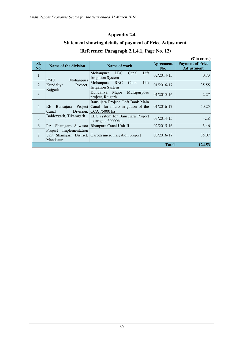# **Statement showing details of payment of Price Adjustment (Reference: Paragraph 2.1.4.1, Page No. 12)**

|                |                                             |                                                                                                         |                         | $(5 \text{ in } \text{core})$                |
|----------------|---------------------------------------------|---------------------------------------------------------------------------------------------------------|-------------------------|----------------------------------------------|
| SI.<br>No.     | Name of the division                        | Name of work                                                                                            | <b>Agreement</b><br>No. | <b>Payment of Price</b><br><b>Adjustment</b> |
| $\mathbf{1}$   | PMU,<br>Mohanpura                           | Lift  <br>Mohanpura<br>LBC<br>Canal<br><b>Irrigation System</b>                                         | 02/2014-15              | 0.73                                         |
| $\mathfrak{D}$ | Project,<br>Kundaliya<br>Rajgarh            | Mohanpura<br><b>RBC</b><br>Lift<br>Canal<br><b>Irrigation System</b>                                    | 01/2016-17              | 35.55                                        |
| $\overline{3}$ |                                             | Kundaliya Major<br>Multipurpose<br>project, Rajgarh                                                     | 01/2015-16              | 2.27                                         |
| $\overline{4}$ | EE<br><b>Bansujara</b><br>Canal             | Bansujara Project Left Bank Main<br>Project Canal for micro irrigation of the<br>Division, CCA 75000 ha | 01/2016-17              | 50.25                                        |
| 5              | Baldevgarh, Tikamgarh                       | LBC system for Bansujara Project<br>to irrigate 60000ha                                                 | 03/2014-15              | $-2.8$                                       |
| 6              | PA, Shamgarh Suwasra Bhanpura Canal Unit-II |                                                                                                         | 02/2015-16              | 3.46                                         |
| $\overline{7}$ | Project Implementation<br>Mandsaur          | Unit, Shamgarh, District, Garoth micro irrigation project                                               | 08/2016-17              | 35.07                                        |
|                |                                             |                                                                                                         | <b>Total</b>            | 124.53                                       |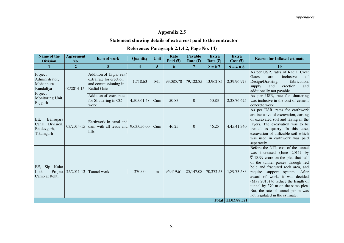#### **Statement showing details of extra cost paid to the contractor**

#### **Reference: Paragraph 2.1.4.2, Page No. 14)**

| Name of the<br><b>Division</b>                                     | <b>Agreement</b><br>No. | <b>Item of work</b>                                                                              | Quantity                | Unit      | Rate<br>Paid $(\overline{\mathbf{z}})$ | <b>Payable</b><br>Rate $( ₹)$ | <b>Extra</b><br>Rate $( ₹)$ | <b>Extra</b><br>$Cost$ (₹) | <b>Reason for Inflated estimate</b>                                                                                                                                                                                                                                                                                                                                                                    |
|--------------------------------------------------------------------|-------------------------|--------------------------------------------------------------------------------------------------|-------------------------|-----------|----------------------------------------|-------------------------------|-----------------------------|----------------------------|--------------------------------------------------------------------------------------------------------------------------------------------------------------------------------------------------------------------------------------------------------------------------------------------------------------------------------------------------------------------------------------------------------|
| $\mathbf{1}$                                                       | $\overline{2}$          | 3                                                                                                | $\overline{\mathbf{4}}$ | 5         | 6                                      | $\overline{7}$                | $8 = 6 - 7$                 | $9 = 4 \times 8$           | <b>10</b>                                                                                                                                                                                                                                                                                                                                                                                              |
| Project<br>Administrator,<br>Mohanpura<br>Kundaliya<br>Project     | 02/2014-15              | Addition of 15 per cent<br>extra rate for erection<br>and commissioning in<br><b>Radial Gate</b> | 1,718.63                | <b>MT</b> | 93,085.70                              | 79,122.85                     | 13,962.85                   | 2,39,96,973                | As per USR, rates of Radial Crest<br>Gates<br>inclusive<br>of<br>are<br>Design/Drawing,<br>fabrication,<br>supply<br>erection<br>and<br>and<br>additionally not payable.                                                                                                                                                                                                                               |
| Monitoring Unit,<br>Rajgarh                                        |                         | Addition of extra rate<br>for Shuttering in CC<br>work                                           | 4,50,061.48             | Cum       | 50.83                                  | $\mathbf{0}$                  | 50.83                       | 2,28,76,625                | As per USR, rate for shuttering<br>was inclusive in the cost of cement<br>concrete work.                                                                                                                                                                                                                                                                                                               |
| EE,<br>Bansujara<br>Division,<br>Canal<br>Baldevgarh,<br>Tikamgarh | 03/2014-15              | Earthwork in canal and<br>dam with all leads and $\vert 9,63,056.00 \vert$<br>lifts              |                         | Cum       | 46.25                                  | $\overline{0}$                | 46.25                       | 4,45,41,340                | As per USR, rates for earthwork<br>are inclusive of excavation, carting<br>of excavated soil and laying in the<br>layers. The excavation was to be<br>treated as quarry. In this case,<br>excavation of utilizable soil which<br>was used in earthwork was paid<br>separately.                                                                                                                         |
| Sip Kolar<br>EE,<br>Link<br>Project<br>Camp at Rehti               | 25/2011-12              | Tunnel work                                                                                      | 270.00                  | m         | 95,419.61                              | 25,147.08                     | 70,272.53                   | 1,89,73,583                | Before the NIT, cost of the tunnel<br>was increased (June 2011) by<br>₹ 18.99 crore on the plea that half<br>of the tunnel passes through red<br>bole and fractured rock area, and<br>require support system. After<br>award of work, it was decided<br>(May 2013) to reduce the length of<br>tunnel by 270 m on the same plea.<br>But, the rate of tunnel per m was<br>not regulated in the estimate. |
|                                                                    |                         |                                                                                                  |                         |           |                                        |                               |                             | Total 11,03,88,521         |                                                                                                                                                                                                                                                                                                                                                                                                        |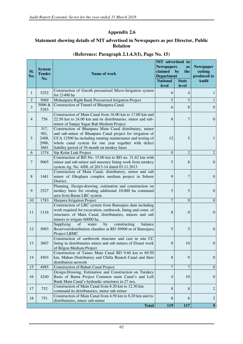#### **Statement showing details of NIT advertised in Newspapers as per Director, Public Relation**

| Sl.<br>No.     | <b>System</b><br><b>Tender</b><br>No.  | Name of work                                                                                                                                                                                                                                                                               | NIT advertised in<br><b>Newspapers</b><br>claimed<br><b>Department</b><br><b>National</b><br>level | as<br>by<br>the<br><b>State</b><br>level | <b>Newspaper</b><br>cutting<br>produced to<br><b>Audit</b> |
|----------------|----------------------------------------|--------------------------------------------------------------------------------------------------------------------------------------------------------------------------------------------------------------------------------------------------------------------------------------------|----------------------------------------------------------------------------------------------------|------------------------------------------|------------------------------------------------------------|
| 1              | 5252                                   | Construction of Garoth pressurised Micro-Irrigation system<br>for 21400 ha                                                                                                                                                                                                                 | 6                                                                                                  | 4                                        | $\mathbf{1}$                                               |
| $\overline{c}$ | 5069                                   | Mohanpura Right Bank Pressurised Irrigation Project                                                                                                                                                                                                                                        | 5                                                                                                  | 5                                        | $\mathbf{1}$                                               |
| 3              | 5096 &<br>5283                         | Construction of Tunnel of Bhanpura Canal                                                                                                                                                                                                                                                   | 6                                                                                                  | 8                                        | $\mathbf{0}$                                               |
| $\overline{4}$ | 756                                    | Construction of Main Canal from 16.00 km to 17.00 km and<br>22.50 km to 24.00 km and its distributaries, minor and sub-<br>minor of Sanjay Sagar Bah Medium Project                                                                                                                        | 8                                                                                                  | 7                                        | $\mathbf{0}$                                               |
| 5              | 317,<br>901,<br>2408,<br>2986,<br>3681 | Construction of Bhanpura Main Canal distributary, minor<br>and sub-minor of Bhanpura Canal project for irrigation of<br>CCA 12500 ha including running maintenance and testing of<br>whole canal system for one year together with defect<br>liability period of 36 month on turnkey basis | 12                                                                                                 | 5                                        | $\mathbf{1}$                                               |
| 6              | 1374                                   | Sip Kolar Link Project                                                                                                                                                                                                                                                                     | $\overline{0}$                                                                                     | $\overline{2}$                           | $\overline{2}$                                             |
| 7              | 9065                                   | Construction of RD No. 15.00 km to RD no. 31.62 km with<br>minor and sub-minor and masonry lining work from turnkey<br>system Ag. No. 4/DL of 2013-14 dated 03.11.2013                                                                                                                     | 5                                                                                                  | 8                                        | $\overline{0}$                                             |
| 8              | 1461                                   | Construction of Main Canal, distributory, minor and sub<br>minor of Ghoghara complex medium project in Sehore<br>District.                                                                                                                                                                 | 9                                                                                                  | 7                                        | $\mathbf{0}$                                               |
| 9              | 2527                                   | Planning, Design-drawing, estimation and construction on<br>turnkey basis for creating additional 10,000 ha command<br>area from Barna LBC system                                                                                                                                          | 5                                                                                                  | 5                                        | $\boldsymbol{0}$                                           |
| 10             | 1783                                   | Harpura Irrigation Project                                                                                                                                                                                                                                                                 | $\overline{7}$                                                                                     | 9                                        | $\overline{0}$                                             |
| 11             | 1116                                   | Construction of LBC system from Bansujara dam including<br>work required for excavation, earthwork, lining and const. of<br>structures of Main Canal, distributaries, minors and sub<br>minors to irrigate 60000 ha.                                                                       | 8                                                                                                  | $\overline{0}$                           | $\mathbf{0}$                                               |
| 12             | 5093                                   | Supplying<br>water<br>by<br>of<br>constructing<br>balance<br>Reservoir/distribution chamber at RD 30900 m of Bansujara<br>Project LBMC                                                                                                                                                     | 5                                                                                                  | 5                                        | $\boldsymbol{0}$                                           |
| 13             | 3607                                   | Construction of earthwork structure and cast in situ CC<br>lining in distributaries minor and sub minors of Disnet work<br>of Bilgon Medium Project                                                                                                                                        | $8\,$                                                                                              | $10\,$                                   | $\boldsymbol{0}$                                           |
| 14             | 4503                                   | Construction of Tames Main Canal RD 9.60 km to 69.50<br>km, Mahan Distributory and Chilla Branch Canal and their<br>distribution network                                                                                                                                                   | 8                                                                                                  | 9                                        | $\boldsymbol{0}$                                           |
| 15             | 4985                                   | Construction of Bahuti Canal Project                                                                                                                                                                                                                                                       | $\overline{7}$                                                                                     | 7                                        | $\overline{0}$                                             |
| 16             | 4240                                   | Design-Drawing, Estimation and Construction on Turnkey<br>Basis of Barna Project Common main Canal's and Left<br>Bank Main Canal's hydraulic structures in 27 nos.                                                                                                                         | $\overline{4}$                                                                                     | 10                                       | $\mathbf{0}$                                               |
| 17             | 752                                    | Construction of Main Canal from 8.20 km to 12.30 km<br>command its distributaries, minor sub-minor                                                                                                                                                                                         | $8\,$                                                                                              | 8                                        | $\overline{c}$                                             |
| 18             | 751                                    | Construction of Main Canal from 4.50 km to 8.20 km and its<br>distributaries, minor sub-minor                                                                                                                                                                                              | 8                                                                                                  | 8                                        | $\overline{c}$                                             |
|                |                                        | <b>Total</b>                                                                                                                                                                                                                                                                               | 119                                                                                                | 117                                      | 9 <sup>°</sup>                                             |

#### **(Reference: Paragraph 2.1.4.3(I), Page No. 15)**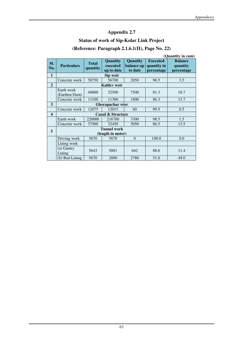# **Status of work of Sip-Kolar Link Project**

# **(Reference: Paragraph 2.1.6.1(II), Page No. 22)**

|                         | (Quantity in cum)           |                          |                                           |                                   |                                              |                                          |  |  |  |  |
|-------------------------|-----------------------------|--------------------------|-------------------------------------------|-----------------------------------|----------------------------------------------|------------------------------------------|--|--|--|--|
| SI.<br>No.              | <b>Particulars</b>          | <b>Total</b><br>quantity | <b>Quantity</b><br>executed<br>up to date | Quantity<br>balance up<br>to date | <b>Executed</b><br>quantity in<br>percentage | <b>Balance</b><br>quantity<br>percentage |  |  |  |  |
| $\mathbf{1}$            |                             |                          | Sip weir                                  |                                   |                                              |                                          |  |  |  |  |
|                         | Concrete work               | 58750                    | 56700                                     | 2050                              | 96.5                                         | 3.5                                      |  |  |  |  |
| $\overline{2}$          |                             |                          | <b>Kaldev</b> weir                        |                                   |                                              |                                          |  |  |  |  |
|                         | Earth work<br>(Earthen Dam) | 40000                    | 32500                                     | 7500                              | 81.3                                         | 18.7                                     |  |  |  |  |
|                         | Concrete work               | 13100                    | 11300                                     | 1800                              | 86.3                                         | 13.7                                     |  |  |  |  |
| 3                       |                             |                          |                                           |                                   |                                              |                                          |  |  |  |  |
|                         | Concrete work               | 12075                    | 12015                                     | 60                                | 99.5                                         | 0.5                                      |  |  |  |  |
| $\overline{\mathbf{4}}$ |                             |                          | <b>Canal &amp; Structure</b>              |                                   |                                              |                                          |  |  |  |  |
|                         | Earth work                  | 220000                   | 216700                                    | 3300                              | 98.5                                         | 1.5                                      |  |  |  |  |
|                         | Concrete work               | 37500                    | 32450                                     | 5050                              | 86.5                                         | 13.5                                     |  |  |  |  |
| 5                       |                             |                          | <b>Tunnel work</b>                        |                                   |                                              |                                          |  |  |  |  |
|                         |                             |                          | (length in meter)                         |                                   |                                              |                                          |  |  |  |  |
|                         | Driving work                | 5670                     | 5670                                      | $\theta$                          | 100.0                                        | 0.0                                      |  |  |  |  |
|                         | Lining work                 |                          |                                           |                                   |                                              |                                          |  |  |  |  |
|                         | (a) Gantry<br>Lining        | 5643                     | 5001                                      | 642                               | 88.6                                         | 11.4                                     |  |  |  |  |
|                         | (b) Bed Lining              | 5670                     | 2890                                      | 2780                              | 51.0                                         | 49.0                                     |  |  |  |  |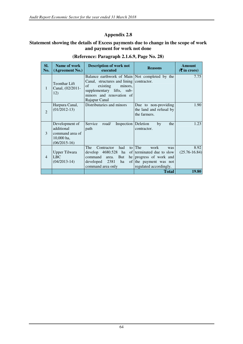#### **Statement showing the details of Excess payments due to change in the scope of work and payment for work not done**

| SI.<br>No.     | Name of work<br>(Agreement No.)                                                   | <b>Description of work not</b><br>executed                                                                                                                                            | <b>Reasons</b>                                                                                                              | <b>Amount</b><br>$(5 \text{ in } \text{core})$ |
|----------------|-----------------------------------------------------------------------------------|---------------------------------------------------------------------------------------------------------------------------------------------------------------------------------------|-----------------------------------------------------------------------------------------------------------------------------|------------------------------------------------|
| 1              | <b>Teonthar Lift</b><br>Canal, (02/2011-<br>12)                                   | Balance earthwork of Main Not completed by the<br>Canal, structures and lining<br>existing<br>minors,<br>of<br>supplementary lifts, sub-<br>minors and renovation of<br>Rajapur Canal | contractor.                                                                                                                 | 7.75                                           |
| $\overline{2}$ | Harpura Canal,<br>$(01/2012-13)$                                                  | Distributaries and minors                                                                                                                                                             | Due to non-providing<br>the land and refusal by<br>the farmers.                                                             | 1.90                                           |
| 3              | Development of<br>additional<br>command area of<br>$10,000$ ha,<br>$(06/2015-16)$ | Service<br>road/<br>Inspection<br>path                                                                                                                                                | Deletion<br>by<br>the<br>contractor.                                                                                        | 1.23                                           |
| $\overline{4}$ | <b>Upper Tilwara</b><br><b>LBC</b><br>$(04/2013-14)$                              | The<br>Contractor<br>had<br>develop 4680.528<br>ha<br>command<br>But<br>area.<br>he  <br>2381<br>ha<br>developed<br>of l<br>command area only                                         | to The<br>work<br>was<br>of terminated due to slow<br>progress of work and<br>the payment was not<br>regulated accordingly. | 8.92<br>$(25.76 - 16.84)$                      |
|                |                                                                                   |                                                                                                                                                                                       | <b>Total</b>                                                                                                                | <b>19.80</b>                                   |

#### **(Reference: Paragraph 2.1.6.9, Page No. 28)**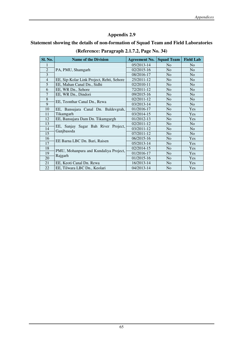#### **Statement showing the details of non-formation of Squad Team and Field Laboratories**

| Sl. No.        | <b>Name of the Division</b>               | <b>Agreement No.</b> | <b>Squad Team</b> | <b>Field Lab</b> |
|----------------|-------------------------------------------|----------------------|-------------------|------------------|
|                |                                           | 05/2013-14           | N <sub>o</sub>    | N <sub>o</sub>   |
| $\overline{2}$ | PA, PMU, Shamgarh                         | 02/2015-16           | N <sub>o</sub>    | N <sub>o</sub>   |
| 3              |                                           | 08/2016-17           | N <sub>o</sub>    | N <sub>o</sub>   |
| $\overline{4}$ | EE, Sip-Kolar Link Project, Rehti, Sehore | 25/2011-12           | N <sub>o</sub>    | N <sub>o</sub>   |
| 5              | EE, Mahan Canal Dn., Sidhi                | 02/2010-11           | N <sub>o</sub>    | N <sub>0</sub>   |
| 6              | EE, WR Dn., Sehore                        | 72/2011-12           | N <sub>o</sub>    | N <sub>o</sub>   |
| $\overline{7}$ | EE, WR Dn., Dindori                       | 09/2015-16           | N <sub>o</sub>    | N <sub>o</sub>   |
| 8              | EE, Teonthar Canal Dn., Rewa              | 02/2011-12           | N <sub>o</sub>    | N <sub>o</sub>   |
| 9              |                                           | 03/2013-14           | N <sub>o</sub>    | N <sub>o</sub>   |
| 10             | EE, Bansujara Canal Dn. Baldevgrah,       | 01/2016-17           | N <sub>o</sub>    | Yes              |
| 11             | Tikamgarh                                 | 03/2014-15           | N <sub>o</sub>    | <b>Yes</b>       |
| 12             | EE, Bansujara Dam Dn. Tikamgargh          | 01/2012-13           | N <sub>o</sub>    | Yes              |
| 13             | EE, Sanjay Sagar Bah River Project,       | 02/2011-12           | N <sub>o</sub>    | N <sub>o</sub>   |
| 14             | Ganjbasoda                                | 03/2011-12           | N <sub>o</sub>    | N <sub>o</sub>   |
| 15             |                                           | 07/2011-12           | N <sub>o</sub>    | N <sub>o</sub>   |
| 16             | EE Barna LBC Dn. Bari, Raisen             | 06/2015-16           | N <sub>o</sub>    | Yes              |
| 17             |                                           | 05/2013-14           | N <sub>o</sub>    | Yes              |
| 18             | PMU, Mohanpura and Kundaliya Project,     | 02/2014-15           | N <sub>o</sub>    | Yes              |
| 19             | Rajgarh                                   | 01/2016-17           | N <sub>o</sub>    | Yes              |
| 20             |                                           | 01/2015-16           | N <sub>o</sub>    | Yes              |
| 21             | EE, Keoti Canal Dn. Rewa                  | 16/2013-14           | N <sub>o</sub>    | Yes              |
| 22             | EE, Tilwara LBC Dn., Keolari              | 04/2013-14           | N <sub>o</sub>    | Yes              |

#### **(Reference: Paragraph 2.1.7.2, Page No. 34)**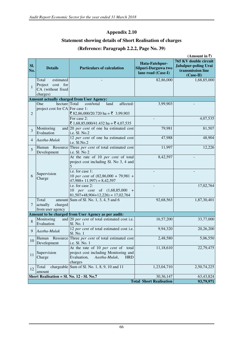#### **Statement showing details of Short Realisation of charges**

#### **(Reference: Paragraph 2.2.2, Page No. 39)**

|                | (Amount in ₹)                                                              |                                                                                                                                                                             |                                                             |                                                                                   |  |  |  |  |  |
|----------------|----------------------------------------------------------------------------|-----------------------------------------------------------------------------------------------------------------------------------------------------------------------------|-------------------------------------------------------------|-----------------------------------------------------------------------------------|--|--|--|--|--|
| SI.<br>No.     | <b>Details</b>                                                             | <b>Particulars of calculation</b>                                                                                                                                           | Hata-Fatehpur-<br>Silpuri-Darguwa two<br>lane road (Case-I) | 765 KV double circuit<br>Jabalpur-poling Urai<br>transmission line<br>$(Case-II)$ |  |  |  |  |  |
| $\mathbf{1}$   | estimated<br>Total<br>Project<br>cost for<br>CA (without fixed<br>charges) |                                                                                                                                                                             | 82,86,000                                                   | 1,68,85,000                                                                       |  |  |  |  |  |
|                |                                                                            | <b>Amount actually charged from User Agency:</b>                                                                                                                            |                                                             |                                                                                   |  |  |  |  |  |
| $\overline{2}$ | One<br>hectare Total<br>project cost for CA For case 1:                    | cost/total<br>affected:<br>land<br>₹ 82,86,000/20.720 ha = ₹ 3,99,903<br>For case 2:<br>₹ 1,68,85,000/41.432 ha = ₹ 4,07,535                                                | 3,99,903                                                    | 4,07,535                                                                          |  |  |  |  |  |
| 3              | Monitoring<br>Evaluation                                                   | and $20$ <i>per cent</i> of one ha estimated cost<br>i.e. Sl. No.2                                                                                                          | 79,981                                                      | 81,507                                                                            |  |  |  |  |  |
| 4              | Aastha-Mulak                                                               | 12 per cent of one ha estimated cost<br>i.e. Sl.No.2                                                                                                                        | 47,988                                                      | 48,904                                                                            |  |  |  |  |  |
| 5              | Development                                                                | Human Resource Three per cent of total estimated cost<br>i.e. Sl. No 2                                                                                                      | 11,997                                                      | 12,226                                                                            |  |  |  |  |  |
| 6              | Supervision<br>Charge                                                      | At the rate of 10 per cent of total<br>project cost including Sl. No 3, 4 and<br>i.e. for case 1:<br>10 per cent of $(82,86,000 + 79,981 +$<br>$47,988 + 11,997$ = 8,42,597 | 8,42,597                                                    |                                                                                   |  |  |  |  |  |
|                |                                                                            | i.e. for case 2:<br>10 per cent of (1,68,85,000<br>$\ddot{}$<br>$81,507+48,904+12,226$ = 17,02,764                                                                          |                                                             | 17,02,764                                                                         |  |  |  |  |  |
| 7              | Total<br>actually<br>charged<br>from user agency                           | amount Sum of Sl. No. $1, 3, 4, 5$ and 6                                                                                                                                    | 92,68,563                                                   | 1,87,30,401                                                                       |  |  |  |  |  |
|                |                                                                            | Amount to be charged from User Agency as per audit:                                                                                                                         |                                                             |                                                                                   |  |  |  |  |  |
| 8              | Monitoring<br>Evaluation                                                   | and 20 per cent of total estimated cost i.e.<br>Sl. No. 1                                                                                                                   | 16,57,200                                                   | 33,77,000                                                                         |  |  |  |  |  |
| 9              | Aastha-Mulak                                                               | 12 per cent of total estimated cost i.e.<br>Sl. No. 1                                                                                                                       | 9,94,320                                                    | 20,26,200                                                                         |  |  |  |  |  |
| 10             | Human Resource<br>Development                                              | Three per cent of total estimated cost<br>i.e. Sl. No. 1                                                                                                                    | 2,48,580                                                    | 5,06,550                                                                          |  |  |  |  |  |
| 11             | Supervision<br>Charge                                                      | At the rate of 10 per cent of total<br>project cost including Monitoring and<br>Evaluation,<br>Aastha-Mulak,<br><b>HRD</b><br>charges                                       | 11,18,610                                                   | 22,79,475                                                                         |  |  |  |  |  |
| 12             | Total<br>chargeable<br>amount                                              | Sum of Sl. No. 1, 8, 9, 10 and 11                                                                                                                                           | 1,23,04,710                                                 | 2,50,74,225                                                                       |  |  |  |  |  |
|                | Short Realisation = Sl. No. 12 - Sl. No.7                                  |                                                                                                                                                                             | 30, 36, 147<br><b>Total Short Realisation</b>               | 63,43,824<br>93,79,971                                                            |  |  |  |  |  |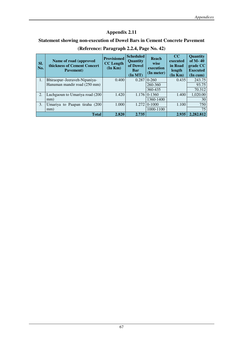# **Statement showing non-execution of Dowel Bars in Cement Concrete Pavement**

| SI.<br>No. | Name of road (approved<br>thickness of Cement Concert<br>Pavement) | <b>Provisioned</b><br><b>CC</b> Length<br>(In Km) | <b>Scheduled</b><br>Quantity<br>of Dowel<br>Bar<br>$($ In MT $)$ | Reach<br>wise<br>execution<br>(In meter) | $_{\rm CC}$<br>executed<br>in Road<br>length<br>(In Km) | Quantity<br>of $M - 40$<br>grade CC<br><b>Executed</b><br>(In cum) |
|------------|--------------------------------------------------------------------|---------------------------------------------------|------------------------------------------------------------------|------------------------------------------|---------------------------------------------------------|--------------------------------------------------------------------|
| 1.         | Bhiraopur–Jeeraveh-Nipaniya-                                       | 0.400                                             |                                                                  | $0.28710 - 260$                          | 0.435                                                   | 243.75                                                             |
|            | Hanuman mandir road (250 mm)                                       |                                                   |                                                                  | 260-360                                  |                                                         | 93.75                                                              |
|            |                                                                    |                                                   |                                                                  | 360-435                                  |                                                         | 70.312                                                             |
| 2.         | Luchgaoun to Umariya road (200                                     | 1.420                                             |                                                                  | $1.176 \mid 0.1360$                      | 1.400                                                   | 1,020.00                                                           |
|            | mm)                                                                |                                                   |                                                                  | 1360-1400                                |                                                         | 30                                                                 |
| 3.         | Umariya to Paapan tiraha (200                                      | 1.000                                             | 1.272                                                            | $0-1000$                                 | 1.100                                                   | 750                                                                |
|            | mm)                                                                |                                                   |                                                                  | 1000-1100                                |                                                         | 75                                                                 |
|            | <b>Total</b>                                                       | 2.820                                             | 2.735                                                            |                                          | 2.935                                                   | 2,282.812                                                          |

# **(Reference: Paragraph 2.2.4, Page No. 42)**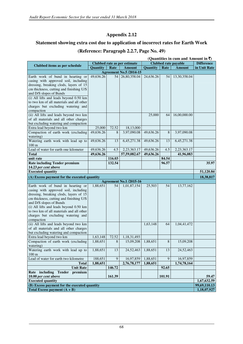# **Statement showing extra cost due to application of incorrect rates for Earth Work**

#### **(Reference: Paragraph 2.2.7, Page No. 49)**

| (Quantities in cum and Amount in ₹)                               |           |        |                                |           |         |                             |                   |  |
|-------------------------------------------------------------------|-----------|--------|--------------------------------|-----------|---------|-----------------------------|-------------------|--|
|                                                                   |           |        | Clubbed rate as per estimate   |           |         | <b>Clubbed rate payable</b> | <b>Difference</b> |  |
| Clubbed items as per schedule                                     | Quantity  | Rate   | <b>Amount</b>                  | Quantity  | Rate    | <b>Amount</b>               | in Unit Rate      |  |
|                                                                   |           |        | <b>Agreement No.5 /2014-15</b> |           |         |                             |                   |  |
| Earth work of bund in hearting or                                 | 49,636.26 | 54     | 26,80,358.04                   | 24,636.26 | 54      | 13,30,358.04                |                   |  |
| casing with approved soil, including                              |           |        |                                |           |         |                             |                   |  |
| dressing, breaking clods, layers of 15                            |           |        |                                |           |         |                             |                   |  |
| cm thickness, cutting and finishing U/S                           |           |        |                                |           |         |                             |                   |  |
| and D/S slopes of Bunds<br>(i) All lifts and leads beyond 0.50 km |           |        |                                |           |         |                             |                   |  |
| to two km of all materials and all other                          |           |        |                                |           |         |                             |                   |  |
| charges but excluding watering and                                |           |        |                                |           |         |                             |                   |  |
| compaction                                                        |           |        |                                |           |         |                             |                   |  |
| (ii) All lifts and leads beyond two km                            |           |        |                                | 25,000    | 64      | 16,00,000.00                |                   |  |
| of all materials and all other charges                            |           |        |                                |           |         |                             |                   |  |
| but excluding watering and compaction                             |           |        |                                |           |         |                             |                   |  |
| Extra lead beyond two km                                          | 25,000    | 72.52  | 18,13,000                      |           |         |                             |                   |  |
| Compaction of earth work (excluding                               | 49,636.26 | 8      | 3,97,090.08                    | 49,636.26 | $\,8\,$ | 3,97,090.08                 |                   |  |
| watering)                                                         |           |        |                                |           |         |                             |                   |  |
| Watering earth work with lead up to<br>100 <sub>m</sub>           | 49,636.26 | 13     | 6,45,271.38                    | 49,636.26 | 13      | 6,45,271.38                 |                   |  |
| Lead of water for earth one kilometer                             | 49,636.26 | 4.5    | 2,23,363.17                    | 49,636.26 | 4.5     | 2,23,363.17                 |                   |  |
| <b>Total</b>                                                      | 49,636.26 |        | 57,59,082.67                   | 49,636.26 |         | 41,96,083                   |                   |  |
| unit rate                                                         |           | 116.03 |                                |           | 84.54   |                             |                   |  |
| <b>Rate including Tender premium</b>                              |           | 132.54 |                                |           | 96.57   |                             | 35.97             |  |
| 14.23 per cent above                                              |           |        |                                |           |         |                             |                   |  |
| <b>Executed quantity</b>                                          |           |        |                                |           |         |                             | 51,120.84         |  |
| (A) Excess payment for the executed quantity                      |           |        |                                |           |         |                             | 18,38,817         |  |
|                                                                   |           |        | <b>Agreement No.1 /2015-16</b> |           |         |                             |                   |  |
| Earth work of bund in hearting or                                 | 1,88,651  | 54     | 1,01,87,154                    | 25,503    | 54      | 13,77,162                   |                   |  |
| casing with approved soil, including                              |           |        |                                |           |         |                             |                   |  |
| dressing, breaking clods, layers of 15                            |           |        |                                |           |         |                             |                   |  |
| cm thickness, cutting and finishing U/S                           |           |        |                                |           |         |                             |                   |  |
| and D/S slopes of Bunds<br>(i) All lifts and leads beyond 0.50 km |           |        |                                |           |         |                             |                   |  |
| to two km of all materials and all other                          |           |        |                                |           |         |                             |                   |  |
| charges but excluding watering and                                |           |        |                                |           |         |                             |                   |  |
| compaction                                                        |           |        |                                |           |         |                             |                   |  |
| (ii) All lifts and leads beyond two km                            |           |        |                                | 1,63,148  | 64      | 1,04,41,472                 |                   |  |
| of all materials and all other charges                            |           |        |                                |           |         |                             |                   |  |
| but excluding watering and compaction                             |           |        |                                |           |         |                             |                   |  |
| Extra lead beyond two km                                          | 1,63,148  | 72.52  | 1,18,31,493                    |           |         |                             |                   |  |
| Compaction of earth work (excluding                               | 1,88,651  | 8      | 15,09,208                      | 1,88,651  | 8       | 15,09,208                   |                   |  |
| watering)                                                         |           |        |                                |           |         |                             |                   |  |
| Watering earth work with lead up to                               | 1,88,651  | 13     | 24,52,463                      | 1,88,651  | 13      | 24,52,463                   |                   |  |
| $100 \text{ m}$<br>Lead of water for earth two kilometre          | 188,651   | 9      | 16,97,859                      | 1,88,651  | 9       | 16,97,859                   |                   |  |
| <b>Total</b>                                                      | 1,88,651  |        | 2,76,78,177                    | 1,88,651  |         | 1,74,78,164                 |                   |  |
| <b>Unit Rate</b>                                                  |           | 146.72 |                                |           | 92.65   |                             |                   |  |
| Rate including Tender premium                                     |           |        |                                |           |         |                             |                   |  |
| 10.00 per cent above                                              |           | 161.39 |                                |           | 101.91  |                             | 59.47             |  |
| 1,67,632.59<br><b>Executed quantity</b>                           |           |        |                                |           |         |                             |                   |  |
| (B) Excess payment for the executed quantity                      |           |        |                                |           |         |                             | 99,69,110.13      |  |
| Total Excess payment $(A + B)$                                    |           |        |                                |           |         |                             | 1,18,07,927       |  |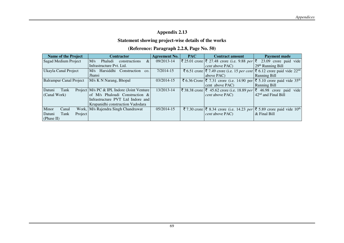#### **Statement showing project-wise details of the works**

#### **(Reference: Paragraph 2.2.8, Page No. 50)**

| <b>Name of the Project</b>     | <b>Contractor</b>                             | <b>Agreement No.</b> | <b>PAC</b> | <b>Contract amount</b>                                                                                                        | <b>Payment made</b>             |
|--------------------------------|-----------------------------------------------|----------------------|------------|-------------------------------------------------------------------------------------------------------------------------------|---------------------------------|
| Sagad Medium Project           | M/s<br>$\&$<br>Phaludi<br>constructions       | 09/2013-14           |            | $ \xi $ 25.01 crore $ \xi $ 27.48 crore (i.e. 9.88 <i>per</i> $ \xi $                                                         | 23.09 crore paid vide           |
|                                | Infrastructure Pvt. Ltd.                      |                      |            | <i>cent</i> above PAC)                                                                                                        | $29th$ Running Bill             |
| Ukayla Canal Project           | M/s Harsiddhi Construction<br>CO <sub>1</sub> | $7/2014 - 15$        |            | ₹ 6.51 crore $ \xi$ 7.49 crore (i.e. 15 per cent $ \xi$ 6.12 crore paid vide 22 <sup>nd</sup>                                 |                                 |
|                                | Jhansi                                        |                      |            | above PAC)                                                                                                                    | <b>Running Bill</b>             |
| <b>Balrampur Canal Project</b> | M/s K N Narang, Bhopal                        | 03/2014-15           |            | ₹ 6.36 Crore $\vert \bar{\xi} \vert$ 7.31 crore (i.e. 14.90 per $\vert \bar{\xi} \vert$ 5.10 crore paid vide 35 <sup>th</sup> |                                 |
|                                |                                               |                      |            | cent above PAC)                                                                                                               | <b>Running Bill</b>             |
| Datuni<br>Tank                 | Project   M/s PC & IPL Indore (Joint Venture  | 13/2013-14           |            | ₹ 38.38 crore $ \bar{\xi} $ 45.62 crore (i.e. 18.89 per $ \bar{\xi} $ 46.98 crore paid vide                                   |                                 |
| (Canal Work)                   | of M/s Phaloudi Construction &                |                      |            | <i>cent</i> above PAC)                                                                                                        | 42 <sup>nd</sup> and Final Bill |
|                                | Infrastructure PVT Ltd Indore and             |                      |            |                                                                                                                               |                                 |
|                                | Krupanidhi construction Vadodara              |                      |            |                                                                                                                               |                                 |
| Minor<br>Canal                 | Work, M/s Rajendra Singh Chandrawat           | 05/2014-15           |            | ₹7.30 crore $\vert \bar{\xi} \vert$ 8.34 crore (i.e. 14.23 per $\vert \bar{\xi} \vert$ 5.89 crore paid vide 10 <sup>th</sup>  |                                 |
| Tank<br>Project<br>Datuni      |                                               |                      |            | <i>cent</i> above PAC)                                                                                                        | $\&$ Final Bill                 |
| (Phase II)                     |                                               |                      |            |                                                                                                                               |                                 |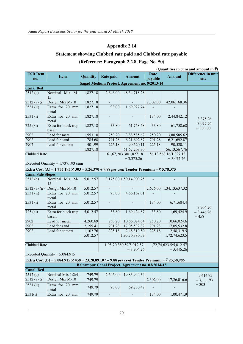#### **Statement showing Clubbed rate paid and Clubbed rate payable**

#### **(Reference: Paragraph 2.2.8, Page No. 50)**

|                                     | (Quantities in cum and amount in ₹)                                                                         |          |                          |                                                   |                 |                                        |                            |  |  |  |  |  |
|-------------------------------------|-------------------------------------------------------------------------------------------------------------|----------|--------------------------|---------------------------------------------------|-----------------|----------------------------------------|----------------------------|--|--|--|--|--|
| <b>USR Item</b><br>no.              | <b>Item</b>                                                                                                 | Quantity | Rate paid                | <b>Amount</b>                                     | Rate<br>payable | <b>Amount</b>                          | Difference in unit<br>rate |  |  |  |  |  |
|                                     |                                                                                                             |          |                          | Sagad Medium Project, Agreement no. 9/2013-14     |                 |                                        |                            |  |  |  |  |  |
| <b>Canal Bed</b>                    |                                                                                                             |          |                          |                                                   |                 |                                        |                            |  |  |  |  |  |
| 2512(c)                             | Nominal Mix M-<br>15                                                                                        | 1,827.18 | 2,646.00                 | 48, 34, 718. 28                                   |                 |                                        |                            |  |  |  |  |  |
| $2512$ (a) (i)                      | Design Mix M-10                                                                                             | 1,827.18 |                          |                                                   | 2,302.00        | 42,06,168.36                           |                            |  |  |  |  |  |
| 2531 (ii)                           | Extra for 20 mm<br>metal                                                                                    | 1,827.18 | 93.00                    | 1,69,927.74                                       |                 |                                        |                            |  |  |  |  |  |
| 2531(i)                             | Extra for 20 mm<br>metal                                                                                    | 1,827.18 |                          |                                                   | 134.00          | 2,44,842.12                            | 3,375.26                   |  |  |  |  |  |
| $\overline{7}25$ (xi)               | Extra for black trap<br>basalt                                                                              | 1,827.18 | 33.80                    | 61,758.68                                         | 33.80           | 61,758.68                              | $-3,072.26$<br>$= 303.00$  |  |  |  |  |  |
| 2902                                | Lead for metal                                                                                              | 1,553.10 | 250.20                   | 3,88,585.62                                       | 250.20          | 3,88,585.62                            |                            |  |  |  |  |  |
| 2902                                | Lead for sand                                                                                               | 785.68   | 791.28                   | 6,21,692.87                                       | 791.28          | 6,21,692.87                            |                            |  |  |  |  |  |
| 2902                                | Lead for cement                                                                                             | 401.99   | 225.18                   | 90,520.11                                         | 225.18          | 90,520.11                              |                            |  |  |  |  |  |
|                                     |                                                                                                             | 1,827.18 |                          | 61, 67, 203. 30                                   |                 | 56,13,567.76                           |                            |  |  |  |  |  |
| <b>Clubbed Rate</b>                 |                                                                                                             |          |                          | 61, 67, 203. 30/1, 827. 18                        |                 | 56, 13, 568. 16/1, 827. 18             |                            |  |  |  |  |  |
|                                     |                                                                                                             |          | $= 3,375.26$             |                                                   |                 | $= 3,072.26$                           |                            |  |  |  |  |  |
| Executed Quantity = $1,737.193$ cum |                                                                                                             |          |                          |                                                   |                 |                                        |                            |  |  |  |  |  |
|                                     | Extra Cost (A) = 1,737.193 $\times$ 303 = 5,26,370 + 9.88 per cent Tender Premium = $\overline{5}$ 5,78,375 |          |                          |                                                   |                 |                                        |                            |  |  |  |  |  |
| <b>Canal Side Slopes</b>            |                                                                                                             |          |                          |                                                   |                 |                                        |                            |  |  |  |  |  |
| 2512(d)                             | Nominal Mix M-                                                                                              | 5,012.57 |                          | 3,175.00 1,59,14,909.75                           |                 |                                        |                            |  |  |  |  |  |
|                                     | 15                                                                                                          |          |                          |                                                   |                 |                                        |                            |  |  |  |  |  |
| $2512$ (a) (ii)                     | Design Mix M-10                                                                                             | 5,012.57 |                          |                                                   | 2,676.00        | 1,34,13,637.32                         |                            |  |  |  |  |  |
| 2531 (ii)                           | Extra for 20 mm<br>metal                                                                                    | 5,012.57 | 93.00                    | 4,66,169.01                                       |                 |                                        |                            |  |  |  |  |  |
| 2531(i)                             | Extra for 20 mm<br>metal                                                                                    | 5,012.57 |                          |                                                   | 134.00          | 6,71,684.4                             | 3,904.26                   |  |  |  |  |  |
| 725 (xi)                            | Extra for black trap<br>basalt                                                                              | 5,012.57 | 33.80                    | 1,69,424.87                                       | 33.80           | 1,69,424.9                             | $-3,446.26$<br>$= 458$     |  |  |  |  |  |
| 2902                                | Lead for metal                                                                                              | 4,260.69 | 250.20                   | 10,66,024.64                                      | 250.20          | 10,66,024.6                            |                            |  |  |  |  |  |
| 2902                                | Lead for sand                                                                                               | 2,155.41 | 791.28                   | 17,05,532.82                                      | 791.28          | 17,05,532.8                            |                            |  |  |  |  |  |
| 2902                                | Lead for cement                                                                                             | 1,102.76 | 225.18                   | 2,48,319.50                                       | 225.18          | 2,48,319.5                             |                            |  |  |  |  |  |
|                                     |                                                                                                             | 5,012.57 |                          | 1,95,70,380.59                                    |                 | 1,72,74,623.5                          |                            |  |  |  |  |  |
| <b>Clubbed Rate</b>                 |                                                                                                             |          |                          | 1,95,70,380.59/5,012.57<br>$= 3,904.26$           |                 | 1,72,74,623.5/5,012.57<br>$= 3,446.26$ |                            |  |  |  |  |  |
|                                     | Executed Quantity = $5,084.915$                                                                             |          |                          |                                                   |                 |                                        |                            |  |  |  |  |  |
|                                     | Extra Cost (B) = 5,084.915 × 458 = 23,28,891.07 + 9.88 per cent Tender Premium = ₹ 25,58,986                |          |                          |                                                   |                 |                                        |                            |  |  |  |  |  |
|                                     |                                                                                                             |          |                          | Balrampur Canal Project, Agreement no. 03/2014-15 |                 |                                        |                            |  |  |  |  |  |
| <b>Canal Bed</b>                    |                                                                                                             |          |                          |                                                   |                 |                                        |                            |  |  |  |  |  |
| 2512(c)                             | Nominal Mix 1:2:4                                                                                           | 749.79   | 2,646.00                 | 19,83,944.34                                      |                 |                                        | 3,414.93                   |  |  |  |  |  |
| $2512$ (a) (i)                      | Design Mix M-10                                                                                             | 749.79   |                          |                                                   | 2,302.00        | 17,26,016.6                            | $-3,111.93$                |  |  |  |  |  |
| 2531 (ii)                           | Extra for 20 mm<br>metal                                                                                    | 749.79   | 93.00                    | 69,730.47                                         |                 |                                        | $= 303$                    |  |  |  |  |  |
| 2531(i)                             | Extra for 20 mm                                                                                             | 749.79   | $\overline{\phantom{a}}$ | $\Box$                                            | 134.00          | 1,00,471.9                             |                            |  |  |  |  |  |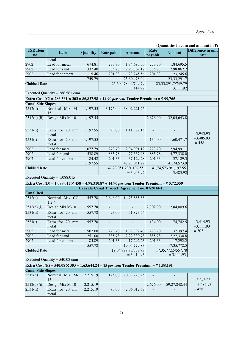#### **(Quantities in cum and amount in**  $\bar{\tau}$ **)**

| <b>USR Item</b><br>no.   | <b>Item</b>                                                                                                     | Quantity | <b>Rate paid</b> | <b>Amount</b>                                   | Rate<br>payable | <b>Amount</b>                           | Difference in unit<br>rate |
|--------------------------|-----------------------------------------------------------------------------------------------------------------|----------|------------------|-------------------------------------------------|-----------------|-----------------------------------------|----------------------------|
|                          | metal                                                                                                           |          |                  |                                                 |                 |                                         |                            |
| 2902                     | Lead for metal                                                                                                  | 674.81   | 273.70           | 1,84,695.50                                     | 273.70          | 1,84,695.5                              |                            |
| 2902                     | Lead for sand                                                                                                   | 337.40   | 885.78           | 2,98,862.17                                     | 885.78          | 2,98,862.2                              |                            |
| 2902                     | Lead for cement                                                                                                 | 115.46   | 201.33           | 23,245.56                                       | 201.33          | 23,245.6                                |                            |
|                          |                                                                                                                 | 749.79   |                  | 25,60,478.04                                    |                 | 23, 33, 291. 7                          |                            |
| <b>Clubbed Rate</b>      |                                                                                                                 |          |                  | 25,60,478.04/749.79                             |                 | 23,33,291.7/749.79                      |                            |
|                          |                                                                                                                 |          |                  | $= 3,414.92$                                    |                 | $= 3,111.92$                            |                            |
|                          | Executed Quantity = $286.561$ cum                                                                               |          |                  |                                                 |                 |                                         |                            |
|                          | Extra Cost (C) = 286.561 × 303 = 86,827.98 + 14.90 per cent Tender Premium) = ₹ 99,765                          |          |                  |                                                 |                 |                                         |                            |
| <b>Canal Side Slopes</b> |                                                                                                                 |          |                  |                                                 |                 |                                         |                            |
| 2512(d)                  | Nominal Mix M-<br>15                                                                                            | 1,197.55 | 3,175.00         | 38,02,221.25                                    |                 |                                         |                            |
| 2512(a) (ii)             | Design Mix M-10                                                                                                 | 1,197.55 |                  |                                                 | 2,676.00        | 32,04,643.8                             |                            |
| 2531(ii)                 | Extra for 20 mm<br>metal                                                                                        | 1,197.55 | 93.00            | 1,11,372.15                                     |                 |                                         | 3,943.93                   |
| 2531(i)                  | Extra for 20 mm<br>metal                                                                                        | 1,197.55 |                  |                                                 | 134.00          | 1,60,471.7                              | $-3,485.93$<br>$= 458$     |
| 2902                     | Lead for metal                                                                                                  | 1,077.79 | 273.70           | 2,94,991.12                                     | 273.70          | 2,94,991.1                              |                            |
| 2902                     | Lead for sand                                                                                                   | 538.89   | 885.78           | 4,77,337.98                                     | 885.78          | 4,77,338.0                              |                            |
| 2902                     | Lead for cement                                                                                                 | 184.42   | 201.33           | 37,129.28                                       | 201.33          | 37,129.3                                |                            |
|                          |                                                                                                                 | 1,197.55 |                  | 47,23,051.79                                    |                 | 41,74,573.9                             |                            |
| <b>Clubbed Rate</b>      |                                                                                                                 |          |                  | 47, 23, 051. 79/1, 197. 55                      |                 | 41,74,573.9/1,197.55                    |                            |
|                          |                                                                                                                 |          |                  | $= 3,943.92$                                    |                 | 3,485.92                                |                            |
|                          | Executed Quantity = $1,088.015$                                                                                 |          |                  |                                                 |                 |                                         |                            |
|                          | Extra Cost (D) = 1,088.015 $\times$ 458 = 4,98,310.87 + 14.90 per cent Tender Premium = $\overline{5}$ 5,72,559 |          |                  |                                                 |                 |                                         |                            |
|                          |                                                                                                                 |          |                  | Ukayala Canal Project, Agreement no. 07/2014-15 |                 |                                         |                            |
| <b>Canal Bed</b>         |                                                                                                                 |          |                  |                                                 |                 |                                         |                            |
| 2512(c)                  | Nominal Mix CC<br>1:2:4                                                                                         | 557.78   | 2,646.00         | 14,75,885.88                                    |                 |                                         |                            |
| $2512(a)$ (i)            | Design Mix M-10                                                                                                 | 557.78   | $\blacksquare$   |                                                 | 2,302.00        | 12,84,009.6                             |                            |
| 2531(ii)                 | Extra for 20 mm<br>metal                                                                                        | 557.78   | 93.00            | 51,873.54                                       |                 |                                         |                            |
| 2531(i)                  | Extra for 20 mm<br>metal                                                                                        | 557.78   |                  |                                                 | 134.00          | 74,742.5                                | 3,414.93<br>$-3,111.93$    |
| 2902                     | Lead for metal                                                                                                  | 502.00   | 273.70           | 1,37,397.40                                     | 273.70          | 1,37,397.4                              | $= 303$                    |
| 2902                     | Lead for sand                                                                                                   | 251.00   | 885.78           | 2,22,330.78                                     | 885.78          | 2,22,330.8                              |                            |
| 2902                     | Lead for cement                                                                                                 | 85.89    | 201.33           | 17,292.23                                       | 201.33          | 17,292.2                                |                            |
|                          |                                                                                                                 | 557.78   |                  | 19,04,779.83                                    |                 | 17,35,772.5                             |                            |
| <b>Clubbed Rate</b>      |                                                                                                                 |          |                  | 19,04,779.83/557.78<br>$= 3,414.93$             |                 | 17, 35, 772. 5/ 557. 78<br>$= 3,111.93$ |                            |
|                          | Executed Quantity = $540.08$ cum                                                                                |          |                  |                                                 |                 |                                         |                            |
|                          | Extra Cost (E) = 540.08 $\times$ 303 = 1,63,644.24 + 15 per cent Tender Premium = $\overline{5}$ 1,88,191       |          |                  |                                                 |                 |                                         |                            |
| <b>Canal Side Slopes</b> |                                                                                                                 |          |                  |                                                 |                 |                                         |                            |
| 2512(d)                  | Nominal Mix M-<br>15                                                                                            | 2,215.19 | 3,175.00         | 70, 33, 228. 25                                 |                 |                                         | 3,943.93                   |
| $2512(a)$ (ii)           | Design Mix M-10                                                                                                 | 2,215.19 |                  |                                                 | 2,676.00        | 59,27,848.44                            | $-3,485.93$                |
| 2531(ii)                 | Extra for 20 mm<br>metal                                                                                        | 2,215.19 | 93.00            | 2,06,012.67                                     |                 |                                         | $= 458$                    |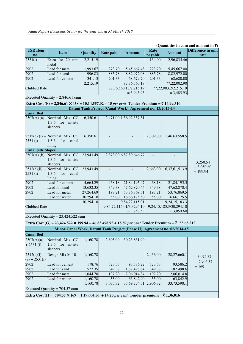#### **(Quantities in cum and amount in**  $\bar{\tau}$ **)**

| <b>USR</b> Item<br>no.        | <b>Item</b>                                                                                                  | Quantity  | Rate paid                | <b>Amount</b>                                              | Rate<br>payable | <b>Amount</b>                                                              | Difference in unit<br>rate |
|-------------------------------|--------------------------------------------------------------------------------------------------------------|-----------|--------------------------|------------------------------------------------------------|-----------------|----------------------------------------------------------------------------|----------------------------|
| 2531(i)                       | Extra for 20 mm<br>metal                                                                                     | 2,215.19  |                          |                                                            | 134.00          | 2,96,835.46                                                                |                            |
| 2902                          | Lead for metal                                                                                               | 1,993.67  | 273.70                   | 5,45,667.48                                                | 273.70          | 5,45,667.00                                                                |                            |
| 2902                          | Lead for sand                                                                                                | 996.83    | 885.78                   | 8,82,972.08                                                | 885.78          | 8,82,972.00                                                                |                            |
| 2902                          | Lead for cement                                                                                              | 341.13    | 201.33                   | 68,679.70                                                  | 201.33          | 68,680.00                                                                  |                            |
|                               |                                                                                                              | 2,215.19  |                          | 87, 36, 560. 18                                            |                 | 77,22,002.90                                                               |                            |
| Clubbed Rate                  |                                                                                                              |           |                          | 87, 36, 560. 18/2, 215. 19<br>$= 3,943.93$                 |                 | 77,22,003.2/2,215.19<br>$= 3,485.93$                                       |                            |
|                               | Executed Quantity = $2,846.61$ cum                                                                           |           |                          |                                                            |                 |                                                                            |                            |
|                               | Extra Cost (F) = 2,846.61 × 458 = 10,14,557.02 + 15 per cent Tender Premium = ₹ 14,99,310                    |           |                          |                                                            |                 |                                                                            |                            |
|                               |                                                                                                              |           |                          | Datuni Tank Project (Canal Work), Agreement no. 13/2013-14 |                 |                                                                            |                            |
| <b>Canal Bed</b>              |                                                                                                              |           |                          |                                                            |                 |                                                                            |                            |
| $2507(A)$ (a)                 | Nominal Mix CC<br>$1:3:6$ for in-situ<br>sleepers                                                            | 6,350.61  |                          | 2,471.00 1,56,92,357.31                                    |                 |                                                                            |                            |
| 2531(i)                       | $2512(e)$ (i) + Nominal Mix CC<br>1:3:6<br>for<br>canal<br>lining                                            | 6,350.61  |                          |                                                            | 2,309.00        | 1,46,63,558.5                                                              |                            |
| <b>Canal Side Slopes</b>      |                                                                                                              |           |                          |                                                            |                 |                                                                            |                            |
|                               | $2507(A)$ (b) Nominal Mix CC<br>$1:3:6$ for in-situ<br>sleepers                                              | 23,943.49 |                          | 2,873.00 6,87,89,646.77                                    |                 |                                                                            | 3,250.54                   |
| 2531(i)                       | $2512(e)(ii) +$ Nominal Mix CC<br>1:3:6<br>for<br>canal<br>lining                                            | 23,943.49 | $\equiv$                 | $\mathbf{r}$                                               | 2,663.00        | 6,37,61,513.9                                                              | $-3,050.60$<br>$= 199.94$  |
| 2902                          | Lead for cement                                                                                              | 4,665.29  | 468.18                   | 21,84,195.47                                               | 468.18          | 21,84,195.5                                                                |                            |
| 2902                          | Lead for sand                                                                                                | 13,632.35 | 349.38                   | 47,62,870.44                                               | 349.38          | 47,62,870.4                                                                |                            |
| 2902                          | Lead for metal                                                                                               | 27,264.69 | 197.21                   | 53,76,869.51                                               | 197.21          | 53,76,869.5                                                                |                            |
|                               | Lead for water                                                                                               | 30,294.10 | 55.00                    | 16,66,175.50                                               | 55.00           | 16,66,175.5                                                                |                            |
|                               |                                                                                                              | 30,294.10 |                          | 9,84,72,115.01                                             |                 | 9,24,15,183.3                                                              |                            |
| <b>Clubbed Rate</b>           |                                                                                                              |           |                          | 9,84,72,115.01/30,294.10                                   |                 | 9, 24, 15, 183. 3/30, 294. 10                                              |                            |
|                               |                                                                                                              |           |                          | $= 3,250.53$                                               |                 | $= 3,050.60$                                                               |                            |
|                               | Executed Quantity = $23,424.522$ cum                                                                         |           |                          |                                                            |                 |                                                                            |                            |
|                               | Extra Cost (G) = 23,424.522 × 199.94 = 46,83,498.92 + 18.89 per cent Tender Premium = ₹ 55,68,212            |           |                          |                                                            |                 |                                                                            |                            |
|                               |                                                                                                              |           |                          |                                                            |                 | Minor Canal Work, Datuni Tank Project (Phase II), Agreement no. 05/2014-15 |                            |
| <b>Canal Bed</b>              |                                                                                                              |           |                          |                                                            |                 |                                                                            |                            |
| 2507(A)(a)<br>$+2531$ (i)     | Nominal Mix CC<br>1:3:6 for in-situ<br>sleepers                                                              | 1,160.78  | 2,605.00                 | 30,23,831.90                                               |                 |                                                                            |                            |
| 2512(a)(i)<br>$(a) + 2531(i)$ | Design Mix M-10                                                                                              | 1,160.78  | $\overline{\phantom{a}}$ |                                                            | 2,436.00        | 28,27,660.1                                                                | 3,075.32                   |
| 2902                          | Lead for cement                                                                                              | 178.76    | 523.53                   | 93,586.22                                                  | 523.53          | 93,586.2                                                                   | $-2,906.32$                |
| 2902                          | Lead for sand                                                                                                | 522.35    | 349.38                   | 1,82,498.64                                                | 349.38          | 1,82,498.6                                                                 | $= 169$                    |
| 2902                          | Lead for metal                                                                                               | 1,044.70  | 197.20                   | 2,06,014.84                                                | 197.20          | 2,06,014.8                                                                 |                            |
| 2902                          | Lead for water                                                                                               | 1,160.78  | 55.00                    | 63,842.90                                                  | 55.00           | 63,842.9                                                                   |                            |
|                               |                                                                                                              | 1,160.78  | 3,075.32                 | 35,69,774.51 2,906.32                                      |                 | 33,73,598.1                                                                |                            |
|                               | Executed Quantity = $704.57$ cum                                                                             |           |                          |                                                            |                 |                                                                            |                            |
|                               | Extra Cost (H) = 704.57 $\times$ 169 = 1,19,004.56 + 14.23 per cent Tender premium = $\overline{5}$ 1,36,016 |           |                          |                                                            |                 |                                                                            |                            |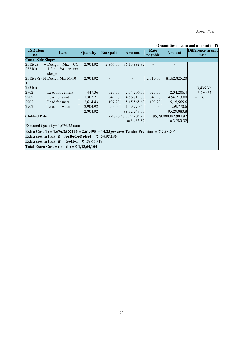#### **(Quantities in cum and amount in**  $\bar{\tau}$ **)**

| <b>USR</b> Item<br>no.                        | <b>Item</b>                                                                             | Quantity | Rate paid | <b>Amount</b>         | Rate<br>payable | <b>Amount</b>        | Difference in unit<br>rate |  |  |  |  |
|-----------------------------------------------|-----------------------------------------------------------------------------------------|----------|-----------|-----------------------|-----------------|----------------------|----------------------------|--|--|--|--|
| <b>Canal Side Slopes</b>                      |                                                                                         |          |           |                       |                 |                      |                            |  |  |  |  |
| 2512(d)                                       | <b>CC</b><br>Mix<br>$+$ Design                                                          | 2,904.92 | 2,966.00  | 86,15,992.72          |                 |                      |                            |  |  |  |  |
| 2531(i)                                       | 1:3:6<br>for in-situ<br>sleepers                                                        |          |           |                       |                 |                      |                            |  |  |  |  |
|                                               | $2512(a)(i)(b)$ Design Mix M-10                                                         | 2,904.92 |           |                       | 2,810.00        | 81,62,825.20         |                            |  |  |  |  |
| $\pm$<br>2531(i)                              |                                                                                         |          |           |                       |                 |                      | 3,436.32                   |  |  |  |  |
| 2902                                          | Lead for cement                                                                         | 447.36   | 523.53    | 2,34,206.38           | 523.53          | 2,34,206.4           | $-3,280.32$                |  |  |  |  |
| 2902                                          | Lead for sand                                                                           | 1,307.21 | 349.38    | 4,56,713.03           | 349.38          | 4,56,713.00          | $= 156$                    |  |  |  |  |
| 2902                                          | Lead for metal                                                                          | 2,614.43 | 197.20    | 5,15,565.60           | 197.20          | 5,15,565.6           |                            |  |  |  |  |
| 2902                                          | Lead for water                                                                          | 2,904.92 | 55.00     | 1,59,770.60           | 55.00           | 1,59,770.6           |                            |  |  |  |  |
|                                               |                                                                                         | 2,904.92 |           | 99, 82, 248. 33       |                 | 95,29,080.8          |                            |  |  |  |  |
| <b>Clubbed Rate</b>                           |                                                                                         |          |           | 99,82,248.33/2,904.92 |                 | 95,29,080.8/2,904.92 |                            |  |  |  |  |
|                                               |                                                                                         |          |           | $= 3,436.32$          |                 | $= 3,280.32$         |                            |  |  |  |  |
|                                               | Executed Quantity= $1,676.25$ cum                                                       |          |           |                       |                 |                      |                            |  |  |  |  |
|                                               | Extra Cost (I) = 1,676.25 × 156 = 2,61,495 + 14.23 per cent Tender Premium = ₹ 2,98,706 |          |           |                       |                 |                      |                            |  |  |  |  |
|                                               | Extra cost in Part (i) = A+B+C+D+E+F = ₹ 54,97,186                                      |          |           |                       |                 |                      |                            |  |  |  |  |
| Extra cost in Part (ii) = G+H+I = ₹ 58,66,918 |                                                                                         |          |           |                       |                 |                      |                            |  |  |  |  |
|                                               | Total Extra Cost = (i) + (ii) = ₹ 1,13,64,104                                           |          |           |                       |                 |                      |                            |  |  |  |  |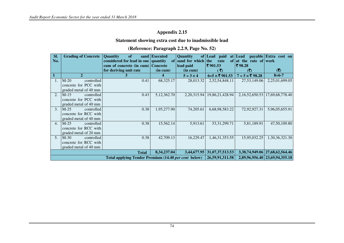#### **Statement showing extra cost due to inadmissible lead**

#### **(Reference: Paragraph 2.2.9, Page No. 52)**

| SI.<br>No.     | <b>Grading of Concrete</b> | <b>Quantity</b><br>of<br>considered for lead in one quantity | sand Executed | Quantity<br>of sand for which the | of Lead paid<br>rate             | at   Lead<br>of at the rate of work | payable Extra cost on                    |
|----------------|----------------------------|--------------------------------------------------------------|---------------|-----------------------------------|----------------------------------|-------------------------------------|------------------------------------------|
|                |                            | cum of concrete (in cum) Concrete                            |               | lead paid                         | ₹901.53                          | そ98.28                              |                                          |
|                |                            | for deriving unit rate                                       | (in cum)      | (in cum)                          | $\left( \mathbf{\bar{z}}\right)$ | (₹)                                 | (3)                                      |
| $\vert$ 1      | $\mathfrak{D}$             |                                                              | 4             | $5 = 3 \times 4$                  | $6=5 \times \overline{5}$ 901.53 | 7 = $5 \times \overline{5}$ 98.28   | $8 = 6 - 7$                              |
|                | $M-20$<br>controlled       | 0.41                                                         | 68,325.17     | 28,013.32                         | 2,52,54,848.11                   | 27,53,149.06                        | 2,25,01,699.05                           |
|                | concrete for PCC with      |                                                              |               |                                   |                                  |                                     |                                          |
|                | graded metal of 40 mm      |                                                              |               |                                   |                                  |                                     |                                          |
| 2.             | $M-15$<br>controlled       | 0.43                                                         | 5,12,362.70   | 2,20,315.94                       | 19,86,21,428.94                  |                                     | 2, 16, 52, 650. 53   17, 69, 68, 778. 40 |
|                | concrete for PCC with      |                                                              |               |                                   |                                  |                                     |                                          |
|                | graded metal of 40 mm      |                                                              |               |                                   |                                  |                                     |                                          |
| 3 <sub>1</sub> | $M-25$<br>controlled       | 0.38                                                         | 1,95,277.90   | 74,205.61                         | 6,68,98,583.22                   | 72,92,927.31                        | 5,96,05,655.91                           |
|                | concrete for RCC with      |                                                              |               |                                   |                                  |                                     |                                          |
|                | graded metal of 40 mm      |                                                              |               |                                   |                                  |                                     |                                          |
| 4.             | $M-25$<br>controlled       | 0.38                                                         | 15,562.14     | 5,913.61                          | 53, 31, 299. 71                  | 5,81,189.91                         | 47,50,109.80                             |
|                | concrete for RCC with      |                                                              |               |                                   |                                  |                                     |                                          |
|                | graded metal of 20 mm      |                                                              |               |                                   |                                  |                                     |                                          |
| 5 <sub>1</sub> | $M-30$<br>controlled       | 0.38                                                         | 42,709.13     | 16,229.47                         | 1,46,31,353.55                   | 15,95,032.25                        | 1,30,36,321.30                           |
|                | concrete for RCC with      |                                                              |               |                                   |                                  |                                     |                                          |
|                | graded metal of 40 mm      |                                                              |               |                                   |                                  |                                     |                                          |
|                |                            | <b>Total</b>                                                 | 8,34,237.04   | 3,44,677.95                       | 31,07,37,513.53                  |                                     | 3, 38, 74, 949. 06 27, 68, 62, 564. 46   |
|                |                            | Total applying Tender Premium (14.40 per cent below)         |               |                                   | 26,59,91,311.58                  |                                     | 2,89,96,956.40 23,69,94,355.18           |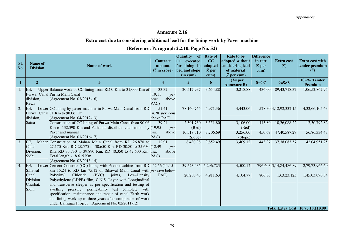#### **Annexure 2.16**

#### **Extra cost due to considering additional lead for the lining work by Paver machine**

|  | (Reference: Paragraph 2.2.10, Page No. 52) |  |  |  |
|--|--------------------------------------------|--|--|--|
|--|--------------------------------------------|--|--|--|

| SI.<br>No.     | Name of<br><b>Division</b> | Name of work                                                                                            | <b>Contract</b><br>amount<br>$(\bar{z})$ in crore) | <b>Quantity</b><br>of<br>CC executed<br>for lining in<br>bed and slope | <b>Rate of</b><br>CC<br>adopted<br>$(\bar{\bar{\mathbf{\zeta}}}$ per | Rate to be<br>adopted without<br>considering lead<br>of material | <b>Difference</b><br>in rate<br>$(\bar{z})$ per<br>cum) | <b>Extra cost</b><br>(5) | <b>Extra cost with</b><br>tender premium<br>$(\overline{\zeta})$ |
|----------------|----------------------------|---------------------------------------------------------------------------------------------------------|----------------------------------------------------|------------------------------------------------------------------------|----------------------------------------------------------------------|------------------------------------------------------------------|---------------------------------------------------------|--------------------------|------------------------------------------------------------------|
| -1             | $\overline{2}$             | 3 <sup>2</sup>                                                                                          | 4                                                  | (in cum)<br>$\overline{5}$                                             | cum)<br>6                                                            | $(\bar{z}$ per cum)<br>7 (As per)                                | $8=6-7$                                                 | $9 = 5 \times 8$         | $10=9+Tender$                                                    |
|                |                            |                                                                                                         |                                                    |                                                                        |                                                                      | <b>Annexure B)</b>                                               |                                                         |                          | Premium                                                          |
| $\mathbf{I}$ . | EE,                        | Upper Balance work of CC lining from RD 0 Km to 31,000 Km of                                            | 33.32                                              | 20,512.937                                                             | 3,654.88                                                             | 3,218.88                                                         | 436.00                                                  | 89, 43, 718. 37          | 1,06,52,862.95                                                   |
|                |                            | Purwa Canal Purwa Main Canal                                                                            | (19.11)<br>per                                     |                                                                        |                                                                      |                                                                  |                                                         |                          |                                                                  |
|                | division,                  | (Agreement No. 03/2015-16)                                                                              | above<br>cent                                      |                                                                        |                                                                      |                                                                  |                                                         |                          |                                                                  |
| 2.             | Rewa<br>EE,                | Lower CC lining by paver machine in Purwa Main Canal from RD                                            | PAC)<br>51.41                                      | 78,160.765                                                             | 4,971.36                                                             | 4,443.06                                                         |                                                         | 528.30 4, 12, 92, 332.15 | 4,32,66,105.63                                                   |
|                |                            | Purwa Canal 31 Km to 90.06 Km                                                                           | $(4.78$ per cent                                   |                                                                        |                                                                      |                                                                  |                                                         |                          |                                                                  |
|                | division,                  | (Agreement No. 04/2012-13)                                                                              | above PAC)                                         |                                                                        |                                                                      |                                                                  |                                                         |                          |                                                                  |
|                | Satna                      | Construction of CC lining of Purwa Main Canal from 90.06                                                | 39.24                                              | 2,301.730                                                              | 3,551.80                                                             | 3,106.00                                                         | 445.80                                                  | 10,26,088.22             | 12,30,792.82                                                     |
|                |                            | Km to 132.390 Km and Pathanda distributor, tail minor by $(19.95$                                       | per                                                | (Bed)                                                                  |                                                                      | (Bed)                                                            |                                                         |                          |                                                                  |
|                |                            | Paver and manual                                                                                        | above<br>cent                                      | 10,518.510                                                             | 3,706.69                                                             | 3,256.00                                                         | 450.69                                                  | 47,40,587.27             | 56,86,334.43                                                     |
|                |                            | (Agreement No. 01/2016-17)                                                                              | PAC)                                               | (Slope)                                                                |                                                                      | (Slope)                                                          |                                                         |                          |                                                                  |
| 3.             | EE,                        | Mahan Construction of Mahan Main Canal from RD 26.870 to                                                | 12.91                                              | 8,430.38                                                               | 3,852.49                                                             | 3,409.12                                                         | 443.37                                                  | 37, 38, 083. 57          | 42,04,951.25                                                     |
|                | Canal                      | 27.170 Km, RD 28.575 to 30.650 Km, RD 30.80 to 35.630 (12.49)                                           | per                                                |                                                                        |                                                                      |                                                                  |                                                         |                          |                                                                  |
|                | Division,                  | Km, RD 35.730 to 39.890 Km, RD 40.350 to 47.600 Km, cent                                                | above                                              |                                                                        |                                                                      |                                                                  |                                                         |                          |                                                                  |
|                | Sidhi                      | Total length - 18.615 Km                                                                                | PAC)                                               |                                                                        |                                                                      |                                                                  |                                                         |                          |                                                                  |
| 4.             | EE,                        | (Agreement No. 02/2013-14)<br>Lower Cement Concrete (CC) lining with Paver machine from RD 42.56 (11.15 |                                                    | 39,523.435 5,296.723                                                   |                                                                      | 4,500.12                                                         |                                                         | 796.603 3,14,84,486.89   | 2,79,73,966.60                                                   |
|                | Sihawal                    | km 15.24 to RD km 75.12 of Sihawal Main Canal with <i>per cent</i> below                                |                                                    |                                                                        |                                                                      |                                                                  |                                                         |                          |                                                                  |
|                | Canal,                     | (PVC)<br>Polyvinyl<br>Chloride<br>joints,<br>Low-Density                                                | PAC)                                               | 20,230.43                                                              | 4,911.63                                                             | 4,104.77                                                         | 806.86                                                  | 1,63,23,125              | 1,45,03,096.34                                                   |
|                | Division                   | Polyethylene (LDPE) film, C.N.S. Layer with Longitudinal                                                |                                                    |                                                                        |                                                                      |                                                                  |                                                         |                          |                                                                  |
|                | Churhat,                   | and transverse sleeper as per specification and testing of                                              |                                                    |                                                                        |                                                                      |                                                                  |                                                         |                          |                                                                  |
|                | Sidhi                      | swelling pressure, permeability test complete with                                                      |                                                    |                                                                        |                                                                      |                                                                  |                                                         |                          |                                                                  |
|                |                            | specification, maintenance and repair of canal Earth work                                               |                                                    |                                                                        |                                                                      |                                                                  |                                                         |                          |                                                                  |
|                |                            | and lining work up to three years after completion of work                                              |                                                    |                                                                        |                                                                      |                                                                  |                                                         |                          |                                                                  |
|                |                            | under Bansagar Project" (Agreement No. 02/2011-12)                                                      |                                                    |                                                                        |                                                                      |                                                                  |                                                         |                          |                                                                  |
|                |                            |                                                                                                         |                                                    |                                                                        |                                                                      |                                                                  |                                                         |                          | <b>Total Extra Cost</b> 10,75,18,110.00                          |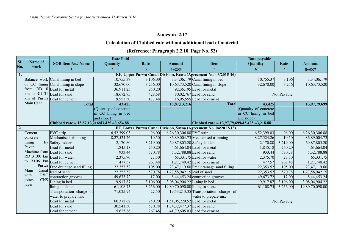#### **Annexure 2.17**

#### **Calculation of Clubbed rate without additional lead of material**

#### **(Reference: Paragraph 2.2.10, Page No. 52)**

|                  |                             |                                                 | <b>Rate Paid</b>       |          |                                 |                                                                  | Rate payable          |             |                  |
|------------------|-----------------------------|-------------------------------------------------|------------------------|----------|---------------------------------|------------------------------------------------------------------|-----------------------|-------------|------------------|
| SI.<br>No.       | Name of                     | <b>SOR</b> item No./ Name                       | <b>Quantity</b>        | Rate     | <b>Amount</b>                   | <b>Item</b>                                                      | Quantity              | Rate        | <b>Amount</b>    |
|                  | work                        |                                                 | $\overline{2}$         | 3        | $4=2\times3$                    | $5\phantom{.0}$                                                  | 6                     | 7           | $8 = 6 \times 7$ |
| $\overline{1}$ . |                             |                                                 |                        |          |                                 | EE, Upper Purwa Canal Division, Rewa (Agreement No. 03/2015-16)  |                       |             |                  |
|                  |                             | Balance work Canal lining in bed                | 10,755.37              | 3,106.00 |                                 | $3,34,06,179$ Canal lining in bed                                | 10,755.37             | 3,106       | 3,34,06,179      |
|                  |                             | of CC lining Canal lining in slope              | 32,670.00              | 3,256.00 |                                 | $10,63,73,520$ Canal lining in slope                             | 32,670.00             | 3,256       | 10,63,73,520     |
|                  | from RD 0 Lead for metal    |                                                 | 36,911.25              | 250.20   |                                 | $92,35,195$ Lead for metal                                       |                       |             |                  |
|                  | km to RD 31 Lead for sand   |                                                 | 18,672.75              | 428.58   |                                 | 80,02,767 Lead for sand                                          |                       | Not Payable |                  |
|                  |                             | km of Purwa Lead for cement                     | 9,553.50               | 177.48   |                                 | 16,95,555 Lead for cement                                        |                       |             |                  |
|                  | Main Canal                  | <b>Total</b>                                    | 43,425                 |          | 15,87,13,216                    | <b>Total</b>                                                     | 43,425                |             | 13,97,79,699     |
|                  |                             |                                                 | (Quantity of concrete) |          |                                 |                                                                  | (Quantity of concrete |             |                  |
|                  |                             |                                                 | in CC lining in bed    |          |                                 |                                                                  | in CC lining in bed   |             |                  |
|                  |                             |                                                 | and slope)             |          |                                 |                                                                  | and slope)            |             |                  |
|                  |                             | Clubbed rate = $15,87,13,216/43,425 = 3,654.88$ |                        |          |                                 | Clubbed rate = $13,97,79,699/43,425 = 3,218.88$                  |                       |             |                  |
| $\overline{2}$ . |                             |                                                 |                        |          |                                 | EE, Lower Purwa Canal Division, Satna (Agreement No. 04/2012-13) |                       |             |                  |
|                  | Cement                      | PVC strip                                       | 6,52,399.03            | 96.00    | 6,26,30,306.88 PVC strip        |                                                                  | 6,52,399.03           | 96.00       | 6,26,30,306.88   |
|                  | concrete                    | Mechanised trimming                             | 8,27,524.26            | 10.50    |                                 | 86,89,004.73 Mechanised trimming                                 | 8,27,524.26           | 10.50       | 86,89,004.73     |
|                  | lining                      | by Safety ladder                                | 2,170.80               | 3,219.00 |                                 | 69,87,805.20 Safety ladder                                       | 2,170.80              | 3,219.00    | 69,87,805.20     |
|                  | Paver                       | Lead for metal                                  | 1,845.18               | 250.20   |                                 | 4,61,664.04 Lead for metal                                       | 1,845.18              | 250.20      | 4,61,664.04      |
|                  | Machine from Lead for sand  |                                                 | 933.44                 | 570.78   |                                 | 5,32,788.88 Lead for sand                                        | 933.44                | 570.78      | 5,32,788.88      |
|                  | RD 31.00 km Lead for water  |                                                 | 2,375.70               | 27.50    |                                 | 65,331.75 Lead for water                                         | 2,375.70              | 27.50       | 65,331.75        |
|                  | to<br>of                    | 90.06 km Lead for cement                        | 477.57                 | 267.48   |                                 | $1,27,740.42$ Lead for cement                                    | 477.57                | 267.48      | 1,27,740.42      |
|                  |                             | Purwa Free drainage sand filling                | 22,353.52              | 105.00   |                                 | $23,47,119.60$ Free drainage sand filling                        | 22,353.52             | 105.00      | 23,47,119.60     |
|                  | Canal<br>Main<br><b>PVC</b> | lead of sand                                    | 22,353.52              | 570.78   | 1,27,58,942.15 lead of sand     |                                                                  | 22,353.52             | 570.78      | 1,27,58,942.15   |
|                  | with<br>joints,             | contraction grooves                             | 49,673.72              | 17.00    |                                 | 8,44,453.24 contraction grooves                                  | 49,673.72             | 17.00       | 8,44,453.24      |
|                  | layer                       | CNS Lining in bed                               | 9,917.87               | 3,106.00 | 3,08,04,904.22 Lining in bed    |                                                                  | 9,917.87              | 3,106.00    | 3,08,04,904.22   |
|                  |                             | lining in slope                                 | 61,108.75              | 3,256.00 | 19,89,70,090.00 lining in slope |                                                                  | 61,108.75             | 3,256.00    | 19,89,70,090.00  |
|                  |                             | Transportation charge of                        | 71,025.94              | 27.50    |                                 | 19,53,213.35 Transportation charge of                            |                       |             |                  |
|                  |                             | water to prepare mix                            |                        |          |                                 | water to prepare mix                                             |                       |             |                  |
|                  |                             | Lead for metal                                  | 60,372.62              | 250.20   |                                 | 1,51,05,229.52 Lead for metal                                    |                       | Not Payable |                  |
|                  |                             | Lead for sand                                   | 30,541.50              | 570.78   | 1,74,32,477.37 Lead for sand    |                                                                  |                       |             |                  |
|                  |                             | Lead for cement                                 | 15,625.86              | 267.48   |                                 | $41,79,605.03$ Lead for cement                                   |                       |             |                  |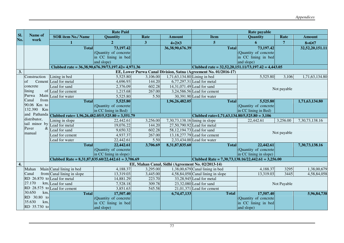|                  |                             |                                                               | <b>Rate Paid</b>       |                |                                |                                                                  | <b>Rate payable</b>    |                |                  |
|------------------|-----------------------------|---------------------------------------------------------------|------------------------|----------------|--------------------------------|------------------------------------------------------------------|------------------------|----------------|------------------|
| SI.<br>No.       | Name of<br>work             | <b>SOR item No./ Name</b>                                     | <b>Quantity</b>        | Rate           | <b>Amount</b>                  | <b>Item</b>                                                      | <b>Quantity</b>        | Rate           | <b>Amount</b>    |
|                  |                             | 1                                                             | $\overline{2}$         | $\overline{3}$ | $4=2\times3$                   | $\overline{5}$                                                   | 6                      | $\overline{7}$ | $8 = 6 \times 7$ |
|                  |                             | <b>Total</b>                                                  | 73,197.42              |                | 36, 38, 90, 676. 39            | <b>Total</b>                                                     | 73,197.42              |                | 32,52,20,151.11  |
|                  |                             |                                                               | (Quantity of concrete) |                |                                |                                                                  | (Quantity of concrete  |                |                  |
|                  |                             |                                                               | in CC lining in bed    |                |                                |                                                                  | in CC lining in bed    |                |                  |
|                  |                             |                                                               | and slope)             |                |                                |                                                                  | and slope)             |                |                  |
|                  |                             | Clubbed rate = $36,38,90,676,39/73,197.42 = 4,971.36$         |                        |                |                                | Clubbed rate = $32,52,20,151.11/73,197.42 = 4,443.05$            |                        |                |                  |
| 3.               |                             |                                                               |                        |                |                                | EE, Lower Purwa Canal Division, Satna (Agreement No. 01/2016-17) |                        |                |                  |
|                  | Construction                | Lining in bed                                                 | 5,525.80               | 3,106.00       | 1,71,63,134.80 Lining in bed   |                                                                  | 5,525.80               | 3,106          | 1,71,63,134.80   |
|                  | $\log$                      | Cement Lead for metal                                         | 4,696.93               | 144.20         |                                | $6,77,297.31$ Lead for metal                                     |                        |                |                  |
|                  | concrete                    | Lead for sand                                                 | 2,376.09               | 602.28         |                                | 14,31,071.49 Lead for sand                                       |                        | Not payable    |                  |
|                  | lining                      | of Lead for cement                                            | 1,215.68               | 267.00         |                                | 3,24,586.56 Lead for cement                                      |                        |                |                  |
|                  | Purwa                       | Main Lead for water                                           | 5,525.80               | 5.50           |                                | 30,391.90 Lead for water                                         |                        |                |                  |
|                  | from<br>Canal               | <b>Total</b>                                                  | 5,525.80               |                | 1,96,26,482.05                 | <b>Total</b>                                                     | 5,525.80               |                | 1,71,63,134.80   |
|                  | 90.06 Km to                 |                                                               | (Quantity of concrete) |                |                                |                                                                  | (Quantity of concrete) |                |                  |
|                  | 132.390<br>Km               |                                                               | in CC lining in Bed)   |                |                                |                                                                  | in CC lining in Bed)   |                |                  |
|                  |                             | and Pathanda Clubbed rate= 1,96,26,482.05/5,525.80 = 3,551.79 |                        |                |                                | Clubbed rate= $1,71,63,134.80/5,525.80 = 3,106$                  |                        |                |                  |
|                  | distributor,                | Lining in slope                                               | 22,442.61              | 3,256.00       | 7,30,73,138.16 lining in slope |                                                                  | 22,442.61              | 3,256.00       | 7,30,73,138.16   |
|                  | tail minor by               | Lead for metal                                                | 19,076.22              | 144.20         |                                | 27,50,790.92 Lead for metal                                      |                        |                |                  |
|                  | Paver<br>&                  | Lead for sand                                                 | 9,650.32               | 602.28         |                                | 58,12,194.73 Lead for sand                                       |                        | Not payable    |                  |
|                  | manual                      | Lead for cement                                               | 4,937.37               | 267.00         |                                | 13,18,277.79 Lead for cement                                     |                        |                |                  |
|                  |                             | Lead for water                                                | 22,442.61              | 5.50           |                                | 2,33,434.00 Lead for water                                       |                        |                |                  |
|                  |                             | <b>Total</b>                                                  | 22,442.61              | 3,706.69       | 8,31,87,835.60                 | <b>Total</b>                                                     | 22,442.61              |                | 7,30,73,138.16   |
|                  |                             |                                                               | (Quantity of concrete) |                |                                |                                                                  | (Quantity of concrete) |                |                  |
|                  |                             |                                                               | in CC lining in slope) |                |                                |                                                                  | in CC lining in slope) |                |                  |
|                  |                             | Clubbed Rate = $8,31,87,835.60/22,442.61 = 3,706.69$          |                        |                |                                | Clubbed Rate = $7,30,73,138.16/22,442.61 = 3,256.00$             |                        |                |                  |
| $\overline{4}$ . |                             |                                                               |                        |                |                                | EE, Mahan Canal, Sidhi (Agreement No. 02/2013-14)                |                        |                |                  |
|                  | Mahan                       | Main Canal lining in bed                                      | 4,188.37               | 3,295.00       |                                | $1,38,00,679$ Canal lining in bed                                | 4,188.37               | 3295           | 1,38,00,679      |
|                  | Canal                       | from Canal lining in slope                                    | 13,319.03              | 3,445.00       |                                | $4,58,84,058$ Canal lining in slope                              | 13,319.03              | 3445           | 4,58,84,058      |
|                  | RD 26.870 to Lead for metal |                                                               | 14,881.29              | 223.70         |                                | 33,28,945 Lead for metal                                         |                        |                |                  |
|                  | 27.170                      | km, Lead for sand                                             | 7,528.18               | 309.78         |                                | $23,32,080$ Lead for sand                                        |                        | Not Payable    |                  |
|                  | RD 28.575                   | to Lead for cement                                            | 3,851.63               | 545.58         |                                | $21,01,371$ Lead for cement                                      |                        |                |                  |
|                  | 30.650<br>km.               | <b>Total</b>                                                  | 17,507.40              |                | 6,74,47,133                    | <b>Total</b>                                                     | 17,507.40              |                | 5,96,84,738      |
|                  | RD 30.80 to                 |                                                               | (Quantity of concrete) |                |                                |                                                                  | (Quantity of concrete) |                |                  |
|                  | 35.630<br>km,               |                                                               | in CC lining in bed    |                |                                |                                                                  | in CC lining in bed    |                |                  |
|                  | RD 35.730 to                |                                                               | and slope)             |                |                                |                                                                  | and slope)             |                |                  |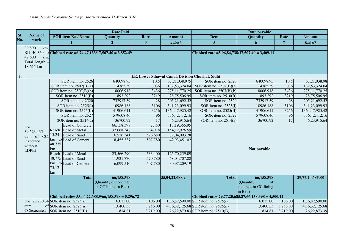|            |                                            |              |                            | <b>Rate Paid</b>                                             |                         |                                                  |                                                     | Rate payable                                         |                 |                    |
|------------|--------------------------------------------|--------------|----------------------------|--------------------------------------------------------------|-------------------------|--------------------------------------------------|-----------------------------------------------------|------------------------------------------------------|-----------------|--------------------|
| SI.<br>No. | Name of<br>work                            |              | <b>SOR item No./ Name</b>  | <b>Quantity</b>                                              | Rate                    | <b>Amount</b>                                    | <b>Item</b>                                         | Quantity                                             | Rate            | <b>Amount</b>      |
|            |                                            |              |                            | 2 <sup>1</sup>                                               | $\overline{\mathbf{3}}$ | $4=2\times3$                                     | 5 <sup>5</sup>                                      | 6                                                    | $\overline{7}$  | $8 = 6 \times 7$   |
|            | 39.890<br>km,                              |              |                            |                                                              |                         |                                                  |                                                     |                                                      |                 |                    |
|            | 47.600<br>km,<br>Total length<br>18.615 km |              |                            | RD 40.350 to Clubbed rate = 6,74,47,133/17,507.40 = 3,852.49 |                         |                                                  | Clubbed rate = $5,96,84,738/17,507.40 = 3,409.11$   |                                                      |                 |                    |
| 5.         |                                            |              |                            |                                                              |                         | EE, Lower Sihawal Canal, Division Churhat, Sidhi |                                                     |                                                      |                 |                    |
|            |                                            |              | SOR item no. 2526          | 640098.95                                                    | 10.5                    | 67,21,038.975                                    | SOR item no. 2526                                   | 640098.95                                            | 10.5            | 67,21,038.98       |
|            |                                            |              | SOR item no. $2507(B)(a)$  | 4365.39                                                      | 3036                    | 132,53,324.04                                    | SOR item no. $2507(B)(a)$                           | 4365.39                                              | 3036            | 132,53,324.04      |
|            |                                            |              | SOR item no. $2507(B)(b)$  | 8006.918                                                     | 3436                    | 275, 11, 770. 25                                 | SOR item no. $2507(B)(b)$                           | 8006.918                                             | 3436            | 275, 11, 770. 25   |
|            |                                            |              | SOR item no. $2510(B)$     | 893.292                                                      | 3219                    | 28,75,506.95                                     | SOR item no. $2510(B)$                              | 893.292                                              | 3219            | 28,75,506.95       |
|            |                                            |              | SOR item no. 2520          | 732917.59                                                    | 28                      | 205, 21, 692. 52                                 | SOR item no. 2520                                   | 732917.59                                            | 28              | 205,21,692.52      |
|            |                                            |              | SOR item no. $2525(I)$     | 10986.188                                                    | 3106                    | 341,23,099.93                                    | $\overline{SOR}$ item no. 2525(I)                   | 10986.188                                            | 3106            | 341,23,099.93      |
|            |                                            |              | SOR item no. 2525(II)      | 41906.611                                                    | 3256                    | 1364, 47, 925. 42                                | SOR item no. 2525(II)                               | 41906.611                                            | 3256            | 1364,47,925.42     |
|            |                                            |              | SOR item no. 2527          | 579608.46                                                    | 96                      | 556, 42, 412.16                                  | SOR item no. 2527                                   | 579608.46                                            | 96              | 556, 42, 412. 16   |
|            |                                            |              | SOR item no. $2514(a)$     | 36700.92                                                     | 17                      | 6,23,915.64                                      | SOR item no. $2514(a)$                              | 36700.92                                             | $\overline{17}$ | 6,23,915.64        |
|            | For                                        |              | Lead of Concrete           | 66,158.398                                                   | 27.50                   | 18, 19, 355. 95                                  |                                                     |                                                      |                 |                    |
|            | 39,523.435                                 |              | Reach Lead of Metal        | 32,668.348                                                   | 471.8                   | 154, 12, 926. 59                                 |                                                     |                                                      |                 |                    |
|            | cum of CC.                                 | 15.24        | Lead of Sand               | 16,526.341                                                   | 526.680                 | 87,04,093.28                                     |                                                     |                                                      |                 |                    |
|            | (executed<br>without<br>LDPE)              | 48.775<br>km | km to Lead of Cement       | 8,455.337                                                    | 507.780                 | 42,93,451.02                                     |                                                     | Not payable                                          |                 |                    |
|            |                                            |              | Reach Lead of Metal        | 23,566.290                                                   | 533.400                 | 125,70,259.09                                    |                                                     |                                                      |                 |                    |
|            |                                            |              | 48.775 Lead of Sand        | 11,921.770                                                   | 570.780                 | 68,04,707.88                                     |                                                     |                                                      |                 |                    |
|            |                                            | 75.12<br>km  | km to Lead of Cement       | 6,099.510                                                    | 507.780                 | 30,97,209.19                                     |                                                     |                                                      |                 |                    |
|            |                                            |              | <b>Total</b>               | 66,158.398                                                   |                         | 35,04,22,688.9                                   | <b>Total</b>                                        | 66,158.398                                           |                 | 29,77,20,685.88    |
|            |                                            |              |                            | (Quantity of concrete<br>in CC lining in Bed)                |                         |                                                  |                                                     | (Quantity)<br>of<br>concrete in CC lining<br>in Bed) |                 |                    |
|            |                                            |              |                            | Clubbed rate= 35,04,22,688.9/66,158.398 = 5,296.72           |                         |                                                  | Clubbed rate= 29,77,20,685.87/66,158.398 = 4,500.12 |                                                      |                 |                    |
|            | For 20,230.34 SOR item no. 2525(i)         |              |                            | 6,015.00                                                     | 3,106.00                |                                                  | 1,86,82,590.00 SOR item no. 2525(i)                 | 6,015.00                                             | 3,106.00        | 1,86,82,590.00     |
|            | cum                                        |              | of SOR item no. $2525(ii)$ | 13,400.53                                                    | 3,256.00                |                                                  | 4,36,32,125.68 SOR item no. 2525(ii)                | 13,400.53                                            | 3,256.00        | 4, 36, 32, 125. 68 |
|            | $CC$ (executed SOR item no. 2510(B)        |              |                            | 814.81                                                       | 3,219.00                |                                                  | 26,22,879.83 SOR item no. 2510(B)                   | 814.81                                               | 3,219.00        | 26, 22, 873.39     |